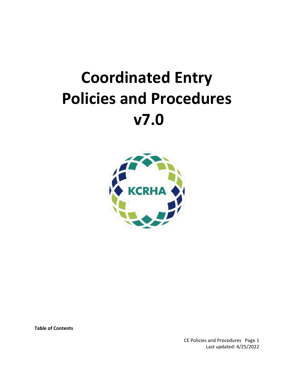# **Coordinated Entry Policies and Procedures v7.0**



**Table of Contents**

CE Policies and Procedures Page 1 Last updated: 4/25/2022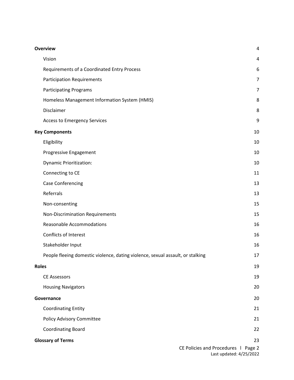| <b>Overview</b>                                                                | 4              |
|--------------------------------------------------------------------------------|----------------|
| Vision                                                                         | 4              |
| Requirements of a Coordinated Entry Process                                    | 6              |
| <b>Participation Requirements</b>                                              | $\overline{7}$ |
| <b>Participating Programs</b>                                                  | $\overline{7}$ |
| Homeless Management Information System (HMIS)                                  | 8              |
| Disclaimer                                                                     | 8              |
| <b>Access to Emergency Services</b>                                            | 9              |
| <b>Key Components</b>                                                          | 10             |
| Eligibility                                                                    | 10             |
| Progressive Engagement                                                         | 10             |
| <b>Dynamic Prioritization:</b>                                                 | 10             |
| Connecting to CE                                                               | 11             |
| <b>Case Conferencing</b>                                                       | 13             |
| Referrals                                                                      | 13             |
| Non-consenting                                                                 | 15             |
| <b>Non-Discrimination Requirements</b>                                         | 15             |
| <b>Reasonable Accommodations</b>                                               | 16             |
| <b>Conflicts of Interest</b>                                                   | 16             |
| Stakeholder Input                                                              | 16             |
| People fleeing domestic violence, dating violence, sexual assault, or stalking | 17             |
| <b>Roles</b>                                                                   | 19             |
| <b>CE Assessors</b>                                                            | 19             |
| <b>Housing Navigators</b>                                                      | 20             |
| Governance                                                                     | 20             |
| <b>Coordinating Entity</b>                                                     | 21             |
| Policy Advisory Committee                                                      | 21             |
| <b>Coordinating Board</b>                                                      | 22             |
| <b>Glossary of Terms</b>                                                       | 23             |
| CE Policies and Procedures   Page 2                                            |                |

Last updated: 4/25/2022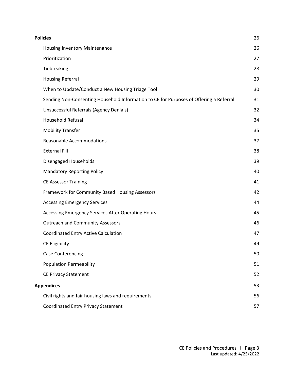| <b>Policies</b>                                                                        | 26 |
|----------------------------------------------------------------------------------------|----|
| <b>Housing Inventory Maintenance</b>                                                   | 26 |
| Prioritization                                                                         | 27 |
| Tiebreaking                                                                            | 28 |
| <b>Housing Referral</b>                                                                | 29 |
| When to Update/Conduct a New Housing Triage Tool                                       | 30 |
| Sending Non-Consenting Household Information to CE for Purposes of Offering a Referral | 31 |
| Unsuccessful Referrals (Agency Denials)                                                | 32 |
| <b>Household Refusal</b>                                                               | 34 |
| <b>Mobility Transfer</b>                                                               | 35 |
| <b>Reasonable Accommodations</b>                                                       | 37 |
| <b>External Fill</b>                                                                   | 38 |
| Disengaged Households                                                                  | 39 |
| <b>Mandatory Reporting Policy</b>                                                      | 40 |
| <b>CE Assessor Training</b>                                                            | 41 |
| Framework for Community Based Housing Assessors                                        | 42 |
| <b>Accessing Emergency Services</b>                                                    | 44 |
| Accessing Emergency Services After Operating Hours                                     | 45 |
| <b>Outreach and Community Assessors</b>                                                | 46 |
| <b>Coordinated Entry Active Calculation</b>                                            | 47 |
| CE Eligibility                                                                         | 49 |
| <b>Case Conferencing</b>                                                               | 50 |
| <b>Population Permeability</b>                                                         | 51 |
| <b>CE Privacy Statement</b>                                                            | 52 |
| <b>Appendices</b>                                                                      | 53 |
| Civil rights and fair housing laws and requirements                                    | 56 |
| <b>Coordinated Entry Privacy Statement</b>                                             | 57 |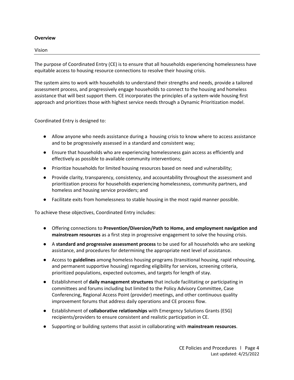#### <span id="page-3-0"></span>**Overview**

<span id="page-3-1"></span>Vision

The purpose of Coordinated Entry (CE) is to ensure that all households experiencing homelessness have equitable access to housing resource connections to resolve their housing crisis.

The system aims to work with households to understand their strengths and needs, provide a tailored assessment process, and progressively engage households to connect to the housing and homeless assistance that will best support them. CE incorporates the principles of a system-wide housing first approach and prioritizes those with highest service needs through a Dynamic Prioritization model.

Coordinated Entry is designed to:

- Allow anyone who needs assistance during a housing crisis to know where to access assistance and to be progressively assessed in a standard and consistent way;
- Ensure that households who are experiencing homelessness gain access as efficiently and effectively as possible to available community interventions;
- Prioritize households for limited housing resources based on need and vulnerability;
- Provide clarity, transparency, consistency, and accountability throughout the assessment and prioritization process for households experiencing homelessness, community partners, and homeless and housing service providers; and
- Facilitate exits from homelessness to stable housing in the most rapid manner possible.

To achieve these objectives, Coordinated Entry includes:

- Offering connections to **Prevention/Diversion/Path to Home, and employment navigation and mainstream resources** as a first step in progressive engagement to solve the housing crisis.
- A **standard and progressive assessment process** to be used for all households who are seeking assistance, and procedures for determining the appropriate next level of assistance.
- Access to **guidelines** among homeless housing programs (transitional housing, rapid rehousing, and permanent supportive housing) regarding eligibility for services, screening criteria, prioritized populations, expected outcomes, and targets for length of stay.
- Establishment of **daily management structures** that include facilitating or participating in committees and forums including but limited to the Policy Advisory Committee, Case Conferencing, Regional Access Point (provider) meetings, and other continuous quality improvement forums that address daily operations and CE process flow.
- Establishment of **collaborative relationships** with Emergency Solutions Grants (ESG) recipients/providers to ensure consistent and realistic participation in CE.
- Supporting or building systems that assist in collaborating with **mainstream resources**.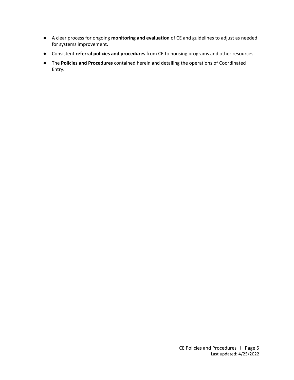- A clear process for ongoing **monitoring and evaluation** of CE and guidelines to adjust as needed for systems improvement.
- Consistent **referral policies and procedures** from CE to housing programs and other resources.
- The **Policies and Procedures** contained herein and detailing the operations of Coordinated Entry.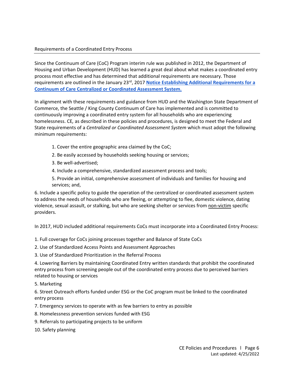<span id="page-5-0"></span>Since the Continuum of Care (CoC) Program interim rule was published in 2012, the Department of Housing and Urban Development (HUD) has learned a great deal about what makes a coordinated entry process most effective and has determined that additional requirements are necessary. Those requirements are outlined in the January 23rd, 2017 **[Notice Establishing Additional Requirements for a](https://files.hudexchange.info/resources/documents/Notice-CPD-17-01-Establishing-Additional-Requirements-or-a-Continuum-of-Care-Centralized-or-Coordinated-Assessment-System.pdf)  [Continuum of Care Centralized or Coordinated Assessment System.](https://files.hudexchange.info/resources/documents/Notice-CPD-17-01-Establishing-Additional-Requirements-or-a-Continuum-of-Care-Centralized-or-Coordinated-Assessment-System.pdf)**

In alignment with these requirements and guidance from HUD and the Washington State Department of Commerce, the Seattle / King County Continuum of Care has implemented and is committed to continuously improving a coordinated entry system for all households who are experiencing homelessness. CE*,* as described in these policies and procedures, is designed to meet the Federal and State requirements of a *Centralized or Coordinated Assessment System* which must adopt the following minimum requirements:

- 1. Cover the entire geographic area claimed by the CoC;
- 2. Be easily accessed by households seeking housing or services;
- 3. Be well-advertised;
- 4. Include a comprehensive, standardized assessment process and tools;

5. Provide an initial, comprehensive assessment of individuals and families for housing and services; and,

6. Include a specific policy to guide the operation of the centralized or coordinated assessment system to address the needs of households who are fleeing, or attempting to flee, domestic violence, dating violence, sexual assault, or stalking, but who are seeking shelter or services from non-victim specific providers.

In 2017, HUD included additional requirements CoCs must incorporate into a Coordinated Entry Process:

- 1. Full coverage for CoCs joining processes together and Balance of State CoCs
- 2. Use of Standardized Access Points and Assessment Approaches
- 3. Use of Standardized Prioritization in the Referral Process

4. Lowering Barriers by maintaining Coordinated Entry written standards that prohibit the coordinated entry process from screening people out of the coordinated entry process due to perceived barriers related to housing or services

5. Marketing

6. Street Outreach efforts funded under ESG or the CoC program must be linked to the coordinated entry process

- 7. Emergency services to operate with as few barriers to entry as possible
- 8. Homelessness prevention services funded with ESG
- 9. Referrals to participating projects to be uniform
- 10. Safety planning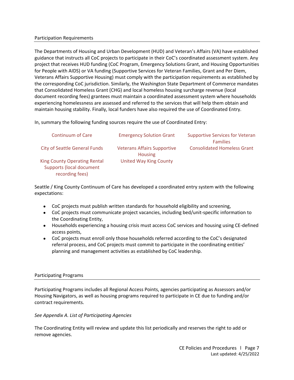#### <span id="page-6-0"></span>Participation Requirements

The Departments of Housing and Urban Development (HUD) and Veteran's Affairs (VA) have established guidance that instructs all CoC projects to participate in their CoC's coordinated assessment system. Any project that receives HUD funding (CoC Program, Emergency Solutions Grant, and Housing Opportunities for People with AIDS) or VA funding (Supportive Services for Veteran Families, Grant and Per Diem, Veterans Affairs Supportive Housing) must comply with the participation requirements as established by the corresponding CoC jurisdiction. Similarly, the Washington State Department of Commerce mandates that Consolidated Homeless Grant (CHG) and local homeless housing surcharge revenue (local document recording fees) grantees must maintain a coordinated assessment system where households experiencing homelessness are assessed and referred to the services that will help them obtain and maintain housing stability. Finally, local funders have also required the use of Coordinated Entry.

In, summary the following funding sources require the use of Coordinated Entry:

| <b>Continuum of Care</b>                                                    | <b>Emergency Solution Grant</b>                      | <b>Supportive Services for Veteran</b><br><b>Families</b> |
|-----------------------------------------------------------------------------|------------------------------------------------------|-----------------------------------------------------------|
| City of Seattle General Funds                                               | <b>Veterans Affairs Supportive</b><br><b>Housing</b> | <b>Consolidated Homeless Grant</b>                        |
| King County Operating Rental<br>Supports (local document<br>recording fees) | <b>United Way King County</b>                        |                                                           |

Seattle / King County Continuum of Care has developed a coordinated entry system with the following expectations:

- CoC projects must publish written standards for household eligibility and screening,
- CoC projects must communicate project vacancies, including bed/unit-specific information to the Coordinating Entity,
- Households experiencing a housing crisis must access CoC services and housing using CE-defined access points,
- CoC projects must enroll only those households referred according to the CoC's designated referral process, and CoC projects must commit to participate in the coordinating entities' planning and management activities as established by CoC leadership.

#### <span id="page-6-1"></span>Participating Programs

Participating Programs includes all Regional Access Points, agencies participating as Assessors and/or Housing Navigators, as well as housing programs required to participate in CE due to funding and/or contract requirements.

#### *See Appendix A. List of Participating Agencies*

The Coordinating Entity will review and update this list periodically and reserves the right to add or remove agencies.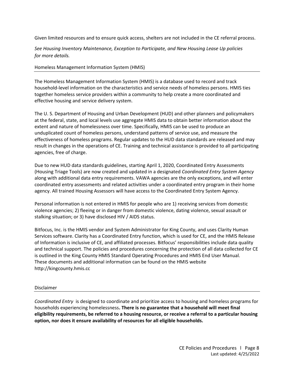Given limited resources and to ensure quick access, shelters are not included in the CE referral process.

*See Housing Inventory Maintenance, Exception to Participate, and New Housing Lease Up policies for more details.* 

#### <span id="page-7-0"></span>Homeless Management Information System (HMIS)

The Homeless Management Information System (HMIS) is a database used to record and track household-level information on the characteristics and service needs of homeless persons. HMIS ties together homeless service providers within a community to help create a more coordinated and effective housing and service delivery system.

The U. S. Department of Housing and Urban Development (HUD) and other planners and policymakers at the federal, state, and local levels use aggregate HMIS data to obtain better information about the extent and nature of homelessness over time. Specifically, HMIS can be used to produce an unduplicated count of homeless persons, understand patterns of service use, and measure the effectiveness of homeless programs. Regular updates to the HUD data standards are released and may result in changes in the operations of CE. Training and technical assistance is provided to all participating agencies, free of charge.

Due to new HUD data standards guidelines, starting April 1, 2020, Coordinated Entry Assessments (Housing Triage Tools) are now created and updated in a designated *Coordinated Entry System Agency* along with additional data entry requirements. VAWA agencies are the only exceptions, and will enter coordinated entry assessments and related activities under a coordinated entry program in their home agency. All trained Housing Assessors will have access to the Coordinated Entry System Agency.

Personal information is not entered in HMIS for people who are 1) receiving services from domestic violence agencies; 2) fleeing or in danger from domestic violence, dating violence, sexual assault or stalking situation; or 3) have disclosed HIV / AIDS status.

Bitfocus, Inc. is the HMIS vendor and System Administrator for King County, and uses Clarity Human Services software. Clarity has a Coordinated Entry function, which is used for CE, and the HMIS Release of Information is inclusive of CE, and affiliated processes. Bitfocus' responsibilities include data quality and technical support. The policies and procedures concerning the protection of all data collected for CE is outlined in the King County HMIS Standard Operating Procedures and HMIS End User Manual. These documents and additional information can be found on the HMIS website http://kingcounty.hmis.cc

#### <span id="page-7-1"></span>Disclaimer

*Coordinated Entry* is designed to coordinate and prioritize access to housing and homeless programs for households experiencing homelessness**. There is no guarantee that a household will meet final eligibility requirements, be referred to a housing resource, or receive a referral to a particular housing option, nor does it ensure availability of resources for all eligible households.**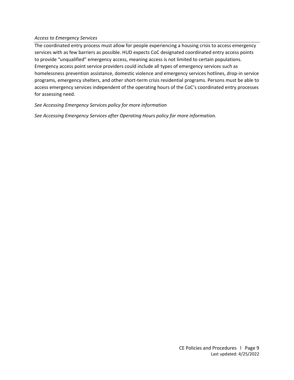#### <span id="page-8-0"></span>*Access to Emergency Services*

The coordinated entry process must allow for people experiencing a housing crisis to access emergency services with as few barriers as possible. HUD expects CoC designated coordinated entry access points to provide "unqualified" emergency access, meaning access is not limited to certain populations. Emergency access point service providers could include all types of emergency services such as homelessness prevention assistance, domestic violence and emergency services hotlines, drop-in service programs, emergency shelters, and other short-term crisis residential programs. Persons must be able to access emergency services independent of the operating hours of the CoC's coordinated entry processes for assessing need.

*See Accessing Emergency Services policy for more information*

*See Accessing Emergency Services after Operating Hours policy for more information.*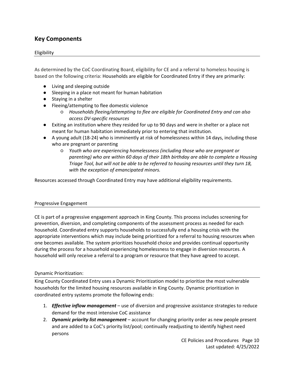# <span id="page-9-0"></span>**Key Components**

#### <span id="page-9-1"></span>Eligibility

As determined by the CoC Coordinating Board, eligibility for CE and a referral to homeless housing is based on the following criteria: Households are eligible for Coordinated Entry if they are primarily:

- Living and sleeping outside
- Sleeping in a place not meant for human habitation
- Staying in a shelter
- Fleeing/attempting to flee domestic violence
	- *Households fleeing/attempting to flee are eligible for Coordinated Entry and can also access DV-specific resources*
- Exiting an institution where they resided for up to 90 days and were in shelter or a place not meant for human habitation immediately prior to entering that institution.
- A young adult (18-24) who is imminently at risk of homelessness within 14 days, including those who are pregnant or parenting
	- *Youth who are experiencing homelessness (including those who are pregnant or parenting) who are within 60 days of their 18th birthday are able to complete a Housing Triage Tool, but will not be able to be referred to housing resources until they turn 18, with the exception of emancipated minors.*

Resources accessed through Coordinated Entry may have additional eligibility requirements.

#### <span id="page-9-2"></span>Progressive Engagement

CE is part of a progressive engagement approach in King County. This process includes screening for prevention, diversion, and completing components of the assessment process as needed for each household. Coordinated entry supports households to successfully end a housing crisis with the appropriate interventions which may include being prioritized for a referral to housing resources when one becomes available. The system prioritizes household choice and provides continual opportunity during the process for a household experiencing homelessness to engage in diversion resources. A household will only receive a referral to a program or resource that they have agreed to accept.

#### <span id="page-9-3"></span>Dynamic Prioritization:

King County Coordinated Entry uses a Dynamic Prioritization model to prioritize the most vulnerable households for the limited housing resources available in King County. Dynamic prioritization in coordinated entry systems promote the following ends:

- 1. *Effective inflow management* use of diversion and progressive assistance strategies to reduce demand for the most intensive CoC assistance
- 2. *Dynamic priority list management* account for changing priority order as new people present and are added to a CoC's priority list/pool; continually readjusting to identify highest need persons

CE Policies and Procedures Page 10 Last updated: 4/25/2022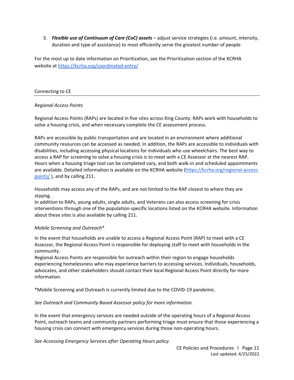3. *Flexible use of Continuum of Care (CoC) assets* – adjust service strategies (i.e. amount, intensity, duration and type of assistance) to most efficiently serve the greatest number of people

For the most up to date information on Prioritization, see the Prioritization section of the KCRHA website at<https://kcrha.org/coordinated-entry/>

#### <span id="page-10-0"></span>Connecting to CE

#### *Regional Access Points*

Regional Access Points (RAPs) are located in five sites across King County. RAPs work with households to solve a housing crisis, and when necessary complete the CE assessment process.

RAPs are accessible by public transportation and are located in an environment where additional community resources can be accessed as needed. In addition, the RAPs are accessible to individuals with disabilities, including accessing physical locations for individuals who use wheelchairs. The best way to access a RAP for screening to solve a housing crisis is to meet with a CE Assessor at the nearest RAP. Hours when a housing triage tool can be completed vary, and both walk-in and scheduled appointments are available. Detailed information is available on the KCRHA website [\(https://kcrha.org/regional-access](https://kcrha.org/regional-access-points/)[points/](https://kcrha.org/regional-access-points/) ), and by calling 211.

Households may access any of the RAPs, and are not limited to the RAP closest to where they are staying.

In addition to RAPs, young adults, single adults, and Veterans can also access screening for crisis interventions through one of the population-specific locations listed on the KCRHA website. Information about these sites is also available by calling 211.

#### *Mobile Screening and Outreach\**

In the event that households are unable to access a Regional Access Point (RAP) to meet with a CE Assessor, the Regional Access Point is responsible for deploying staff to meet with households in the community.

Regional Access Points are responsible for outreach within their region to engage households experiencing homelessness who may experience barriers to accessing services. Individuals, households, advocates, and other stakeholders should contact their local Regional Access Point directly for more information.

\*Mobile Screening and Outreach is currently limited due to the COVID-19 pandemic.

#### *See Outreach and Community Based Assessor policy for more information.*

In the event that emergency services are needed outside of the operating hours of a Regional Access Point, outreach teams and community partners performing triage must ensure that those experiencing a housing crisis can connect with emergency services during those non-operating hours.

*See Accessing Emergency Services after Operating Hours policy.*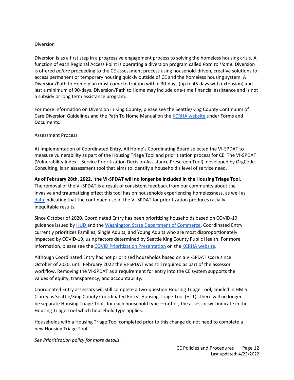#### Diversion

Diversion is as a first step in a progressive engagement process to solving the homeless housing crisis. A function of each Regional Access Point is operating a diversion program called *Path to Home*. Diversion is offered *before* proceeding to the CE assessment process using household-driven, creative solutions to access permanent or temporary housing quickly outside of CE and the homeless housing system. A Diversion/Path to Home plan must come to fruition within 30-days (up to 45 days with extension) and last a minimum of 90-days. Diversion/Path to Home may include one-time financial assistance and is not a subsidy or long term assistance program.

For more information on Diversion in King County, please see the Seattle/King County Continuum of Care Diversion Guidelines and the Path To Home Manual on th[e KCRHA website](https://kcrha.org/coordinated-entry/) under Forms and Documents.

#### Assessment Process

At implementation of Coordinated Entry, All Home's Coordinating Board selected the VI-SPDAT to measure vulnerability as part of the Housing Triage Tool and prioritization process for CE. The VI-SPDAT (Vulnerability Index – Service Prioritization Decision Assistance Prescreen Tool), developed by OrgCode Consulting, is an assessment tool that aims to identify a household's level of service need.

**As of February 28th, 2022, the VI-SPDAT will no longer be included in the Housing Triage Tool.** The removal of the VI-SPDAT is a result of consistent feedback from our community about the invasive and traumatizing effect this tool has on households experiencing homelessness, as well as [data in](https://c4innovates.com/wp-content/uploads/2019/10/CES_Racial_Equity-Analysis_Oct112019.pdf)dicating that the continued use of the VI-SPDAT for prioritization produces racially inequitable results.

Since October of 2020, Coordinated Entry has been prioritizing households based on COVID-19 guidance issued by [HUD a](https://files.hudexchange.info/resources/documents/Changes-to-Coordinated-Entry-Prioritization-to-Support-and-Respond-to-COVID-19.pdf)nd th[e Washington State Department of Commerce.](https://deptofcommerce.app.box.com/s/mx4yx38vuuhtq3uf2a45uxfmc6dccw8b) Coordinated Entry currently prioritizes Families, Single Adults, and Young Adults who are most disproportionately impacted by COVID-19, using factors determined by Seattle King County Public Health. For more information, please see the [COVID Prioritization Presentation](https://kcrha.org/wp-content/uploads/2022/02/CEA_COVID_Prioritization_-_Oct_2020_PDF_for_website_3.pdf) on the [KCRHA website.](https://kcrha.org/coordinated-entry/)

Although Coordinated Entry has not prioritized households based on a VI-SPDAT score since October of 2020, until February 2022 the VI-SPDAT was still required as part of the assessor workflow. Removing the VI-SPDAT as a requirement for entry into the CE system supports the values of equity, transparency, and accountability.

Coordinated Entry assessors will still complete a two-question Housing Triage Tool, labeled in HMIS Clarity as Seattle/King County Coordinated Entry- Housing Triage Tool (HTT). There will no longer be separate Housing Triage Tools for each household type —rather, the assessor will indicate in the Housing Triage Tool which household type applies.

Households with a Housing Triage Tool completed prior to this change do not need to complete a new Housing Triage Tool.

*See Prioritization policy for more details.*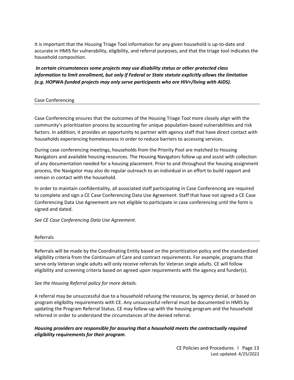It is important that the Housing Triage Tool information for any given household is up-to-date and accurate in HMIS for vulnerability, eligibility, and referral purposes, and that the triage tool indicates the household composition.

*In certain circumstances some projects may use disability status or other protected class information to limit enrollment, but only if Federal or State statute explicitly allows the limitation (e.g. HOPWA-funded projects may only serve participants who are HIV+/living with AIDS).*

#### <span id="page-12-0"></span>Case Conferencing

Case Conferencing ensures that the outcomes of the Housing Triage Tool more closely align with the community's prioritization process by accounting for unique population-based vulnerabilities and risk factors. In addition, it provides an opportunity to partner with agency staff that have direct contact with households experiencing homelessness in order to reduce barriers to accessing services.

During case conferencing meetings, households from the Priority Pool are matched to Housing Navigators and available housing resources. The Housing Navigators follow up and assist with collection of any documentation needed for a housing placement. Prior to and throughout the housing assignment process, the Navigator may also do regular outreach to an individual in an effort to build rapport and remain in contact with the household.

In order to maintain confidentiality, all associated staff participating in Case Conferencing are required to complete and sign a CE Case Conferencing Data Use Agreement. Staff that have not signed a CE Case Conferencing Data Use Agreement are not eligible to participate in case conferencing until the form is signed and dated.

*See CE Case Conferencing Data Use Agreement.* 

#### <span id="page-12-1"></span>Referrals

Referrals will be made by the Coordinating Entity based on the prioritization policy and the standardized eligibility criteria from the Continuum of Care and contract requirements. For example, programs that serve only Veteran single adults will only receive referrals for Veteran single adults. CE will follow eligibility and screening criteria based on agreed upon requirements with the agency and funder(s).

#### *See the Housing Referral policy for more details.*

A referral may be unsuccessful due to a household refusing the resource, by agency denial, or based on program eligibility requirements with CE. Any unsuccessful referral must be documented in HMIS by updating the Program Referral Status. CE may follow-up with the housing program and the household referred in order to understand the circumstances of the denied referral.

#### *Housing providers are responsible for assuring that a household meets the contractually required eligibility requirements for their program*.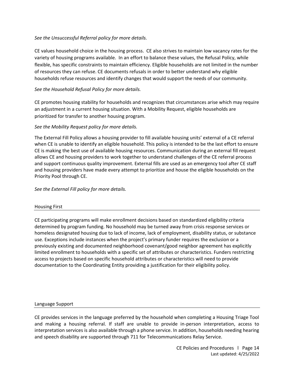#### *See the Unsuccessful Referral policy for more details.*

CE values household choice in the housing process. CE also strives to maintain low vacancy rates for the variety of housing programs available. In an effort to balance these values, the Refusal Policy, while flexible, has specific constraints to maintain efficiency. Eligible households are not limited in the number of resources they can refuse. CE documents refusals in order to better understand why eligible households refuse resources and identify changes that would support the needs of our community.

#### *See the Household Refusal Policy for more details.*

CE promotes housing stability for households and recognizes that circumstances arise which may require an adjustment in a current housing situation. With a Mobility Request, eligible households are prioritized for transfer to another housing program.

#### *See the Mobility Request policy for more details.*

The External Fill Policy allows a housing provider to fill available housing units' external of a CE referral when CE is unable to identify an eligible household. This policy is intended to be the last effort to ensure CE is making the best use of available housing resources. Communication during an external fill request allows CE and housing providers to work together to understand challenges of the CE referral process and support continuous quality improvement. External fills are used as an emergency tool after CE staff and housing providers have made every attempt to prioritize and house the eligible households on the Priority Pool through CE.

*See the External Fill policy for more details.* 

#### Housing First

CE participating programs will make enrollment decisions based on standardized eligibility criteria determined by program funding. No household may be turned away from crisis response services or homeless designated housing due to lack of income, lack of employment, disability status, or substance use. Exceptions include instances when the project's primary funder requires the exclusion or a previously existing and documented neighborhood covenant/good neighbor agreement has explicitly limited enrollment to households with a specific set of attributes or characteristics. Funders restricting access to projects based on specific household attributes or characteristics will need to provide documentation to the Coordinating Entity providing a justification for their eligibility policy.

#### Language Support

CE provides services in the language preferred by the household when completing a Housing Triage Tool and making a housing referral. If staff are unable to provide in-person interpretation, access to interpretation services is also available through a phone service. In addition, households needing hearing and speech disability are supported through 711 for Telecommunications Relay Service.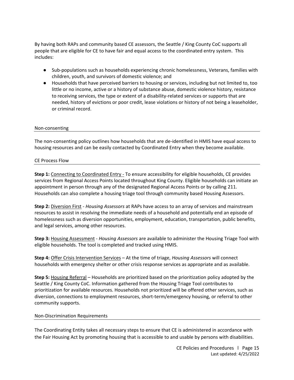By having both RAPs and community based CE assessors, the Seattle / King County CoC supports all people that are eligible for CE to have fair and equal access to the coordinated entry system. This includes:

- Sub-populations such as households experiencing chronic homelessness, Veterans, families with children, youth, and survivors of domestic violence; and
- Households that have perceived barriers to housing or services, including but not limited to, too little or no income, active or a history of substance abuse, domestic violence history, resistance to receiving services, the type or extent of a disability-related services or supports that are needed, history of evictions or poor credit, lease violations or history of not being a leaseholder, or criminal record.

#### <span id="page-14-0"></span>Non-consenting

The non-consenting policy outlines how households that are de-identified in HMIS have equal access to housing resources and can be easily contacted by Coordinated Entry when they become available.

#### CE Process Flow

**Step 1:** Connecting to Coordinated Entry - To ensure accessibility for eligible households, CE provides services from Regional Access Points located throughout King County. Eligible households can initiate an appointment in person through any of the designated Regional Access Points or by calling 211. Households can also complete a housing triage tool through community based Housing Assessors.

**Step 2:** Diversion First - *Housing Assessors* at RAPs have access to an array of services and mainstream resources to assist in resolving the immediate needs of a household and potentially end an episode of homelessness such as diversion opportunities, employment, education, transportation, public benefits, and legal services, among other resources.

**Step 3:** Housing Assessment - *Housing Assessors* are available to administer the Housing Triage Tool with eligible households. The tool is completed and tracked using HMIS.

**Step 4:** Offer Crisis Intervention Services – At the time of triage, *Housing Assessors* will connect households with emergency shelter or other crisis response services as appropriate and as available.

**Step 5:** Housing Referral – Households are prioritized based on the prioritization policy adopted by the Seattle / King County CoC. Information gathered from the Housing Triage Tool contributes to prioritization for available resources. Households not prioritized will be offered other services, such as diversion, connections to employment resources, short-term/emergency housing, or referral to other community supports.

#### <span id="page-14-1"></span>Non-Discrimination Requirements

The Coordinating Entity takes all necessary steps to ensure that CE is administered in accordance with the Fair Housing Act by promoting housing that is accessible to and usable by persons with disabilities.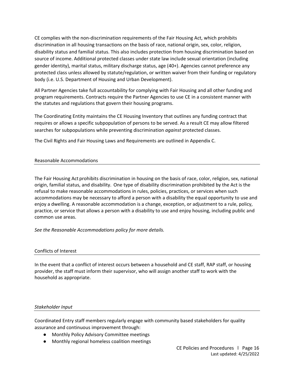CE complies with the non-discrimination requirements of the Fair Housing Act, which prohibits discrimination in all housing transactions on the basis of race, national origin, sex, color, religion, disability status and familial status. This also includes protection from housing discrimination based on source of income. Additional protected classes under state law include sexual orientation (including gender identity), marital status, military discharge status, age (40+). Agencies cannot preference any protected class unless allowed by statute/regulation, or written waiver from their funding or regulatory body (i.e. U.S. Department of Housing and Urban Development).

All Partner Agencies take full accountability for complying with Fair Housing and all other funding and program requirements. Contracts require the Partner Agencies to use CE in a consistent manner with the statutes and regulations that govern their housing programs.

The Coordinating Entity maintains the CE Housing Inventory that outlines any funding contract that requires or allows a specific subpopulation of persons to be served. As a result CE may allow filtered searches for subpopulations while preventing discrimination *against* protected classes.

The Civil Rights and Fair Housing Laws and Requirements are outlined in Appendix C.

#### <span id="page-15-0"></span>Reasonable Accommodations

The Fair Housing Act prohibits discrimination in housing on the basis of race, color, religion, sex, national origin, familial status, and disability. One type of disability discrimination prohibited by the Act is the refusal to make reasonable accommodations in rules, policies, practices, or services when such accommodations may be necessary to afford a person with a disability the equal opportunity to use and enjoy a dwelling. A reasonable accommodation is a change, exception, or adjustment to a rule, policy, practice, or service that allows a person with a disability to use and enjoy housing, including public and common use areas.

*See the Reasonable Accommodations policy for more details.* 

#### <span id="page-15-1"></span>Conflicts of Interest

In the event that a conflict of interest occurs between a household and CE staff, RAP staff, or housing provider, the staff must inform their supervisor, who will assign another staff to work with the household as appropriate.

#### <span id="page-15-2"></span>*Stakeholder Input*

Coordinated Entry staff members regularly engage with community based stakeholders for quality assurance and continuous improvement through:

- Monthly Policy Advisory Committee meetings
- Monthly regional homeless coalition meetings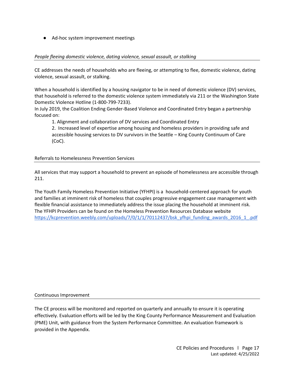● Ad-hoc system improvement meetings

#### <span id="page-16-0"></span>*People fleeing domestic violence, dating violence, sexual assault, or stalking*

CE addresses the needs of households who are fleeing, or attempting to flee, domestic violence, dating violence, sexual assault, or stalking.

When a household is identified by a housing navigator to be in need of domestic violence (DV) services, that household is referred to the domestic violence system immediately via 211 or the Washington State Domestic Violence Hotline (1-800-799-7233).

In July 2019, the Coalition Ending Gender-Based Violence and Coordinated Entry began a partnership focused on:

1. Alignment and collaboration of DV services and Coordinated Entry

2. Increased level of expertise among housing and homeless providers in providing safe and accessible housing services to DV survivors in the Seattle – King County Continuum of Care (CoC).

#### Referrals to Homelessness Prevention Services

All services that may support a household to prevent an episode of homelessness are accessible through 211.

The Youth Family Homeless Prevention Initiative (YFHPI) is a household-centered approach for youth and families at imminent risk of homeless that couples progressive engagement case management with flexible financial assistance to immediately address the issue placing the household at imminent risk. The YFHPI Providers can be found on the Homeless Prevention Resources Database website [https://kcprevention.weebly.com/uploads/7/0/1/1/70112437/bsk\\_yfhpi\\_funding\\_awards\\_2016\\_1\\_.pdf](https://kcprevention.weebly.com/uploads/7/0/1/1/70112437/bsk_yfhpi_funding_awards_2016_1_.pdf)

#### Continuous Improvement

The CE process will be monitored and reported on quarterly and annually to ensure it is operating effectively. Evaluation efforts will be led by the King County Performance Measurement and Evaluation (PME) Unit, with guidance from the System Performance Committee. An evaluation framework is provided in the Appendix.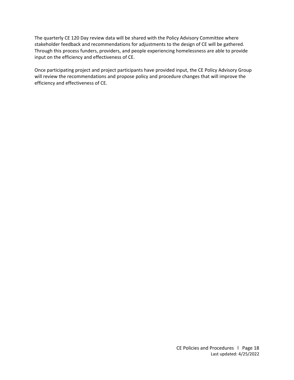The quarterly CE 120 Day review data will be shared with the Policy Advisory Committee where stakeholder feedback and recommendations for adjustments to the design of CE will be gathered. Through this process funders, providers, and people experiencing homelessness are able to provide input on the efficiency and effectiveness of CE.

Once participating project and project participants have provided input, the CE Policy Advisory Group will review the recommendations and propose policy and procedure changes that will improve the efficiency and effectiveness of CE.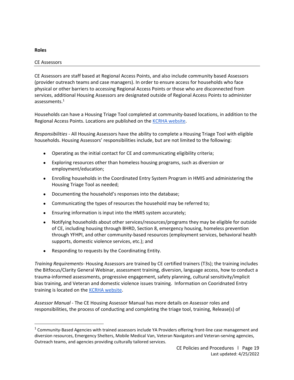#### <span id="page-18-0"></span>**Roles**

#### <span id="page-18-1"></span>CE Assessors

CE Assessors are staff based at Regional Access Points, and also include community based Assessors (provider outreach teams and case managers). In order to ensure access for households who face physical or other barriers to accessing Regional Access Points or those who are disconnected from services, additional Housing Assessors are designated outside of Regional Access Points to administer assessments.<sup>1</sup>

Households can have a Housing Triage Tool completed at community-based locations, in addition to the Regional Access Points. Locations are published on the **KCRHA** website.

*Responsibilities -* All Housing Assessors have the ability to complete a Housing Triage Tool with eligible households. Housing Assessors' responsibilities include, but are not limited to the following:

- Operating as the initial contact for CE and communicating eligibility criteria;
- Exploring resources other than homeless housing programs, such as diversion or employment/education;
- Enrolling households in the Coordinated Entry System Program in HMIS and administering the Housing Triage Tool as needed;
- Documenting the household's responses into the database;
- Communicating the types of resources the household may be referred to;
- Ensuring information is input into the HMIS system accurately;
- Notifying households about other services/resources/programs they may be eligible for outside of CE, including housing through BHRD, Section 8, emergency housing, homeless prevention through YFHPI, and other community-based resources (employment services, behavioral health supports, domestic violence services, etc.); and
- Responding to requests by the Coordinating Entity.

*Training Requirements-* Housing Assessors are trained by CE certified trainers (T3s); the training includes the Bitfocus/Clarity General Webinar, assessment training, diversion, language access, how to conduct a trauma-informed assessments, progressive engagement, safety planning, cultural sensitivity/implicit bias training, and Veteran and domestic violence issues training. Information on Cooridnated Entry training is located on the [KCRHA website.](https://kcrha.org/coordinated-entry/)

*Assessor Manual* - The CE Housing Assessor Manual has more details on Assessor roles and responsibilities, the process of conducting and completing the triage tool, training, Release(s) of

<sup>&</sup>lt;sup>1</sup> Community-Based Agencies with trained assessors include YA Providers offering front-line case management and diversion resources, Emergency Shelters, Mobile Medical Van, Veteran Navigators and Veteran-serving agencies, Outreach teams, and agencies providing culturally tailored services.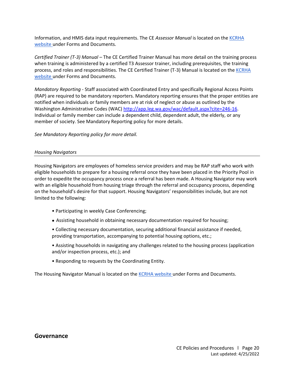Information, and HMIS data input requirements. The CE *Assessor Manual* is located on the [KCRHA](https://kcrha.org/coordinated-entry/)  [website u](https://kcrha.org/coordinated-entry/)nder Forms and Documents[.](http://www.kingcounty.gov/depts/community-human-services/housing/services/homeless-housing/coordinated-entry/providers.aspx) 

*Certified Trainer (T-3) Manual –* The CE Certified Trainer Manual has more detail on the training process when training is administered by a certified T3 Assessor trainer, including prerequisites, the training process, and roles and responsibilities. The CE Certified Trainer (T-3) Manual is located on the KCRHA [website u](https://kcrha.org/coordinated-entry/)nder Forms and Documents[.](http://www.kingcounty.gov/depts/community-human-services/housing/services/homeless-housing/coordinated-entry/providers.aspx) 

*Mandatory Reporting -* Staff associated with Coordinated Entry and specifically Regional Access Points (RAP) are required to be mandatory reporters. Mandatory reporting ensures that the proper entities are notified when individuals or family members are at risk of neglect or abuse as outlined by the Washington Administrative Codes (WAC) [http://app.leg.wa.gov/wac/default.aspx?cite=246-16.](http://app.leg.wa.gov/wac/default.aspx?cite=246-16) Individual or family member can include a dependent child, dependent adult, the elderly, or any member of society. See Mandatory Reporting policy for more details.

*See Mandatory Reporting policy for more detail.*

#### <span id="page-19-0"></span>*Housing Navigators*

Housing Navigators are employees of homeless service providers and may be RAP staff who work with eligible households to prepare for a housing referral once they have been placed in the Priority Pool in order to expedite the occupancy process once a referral has been made. A Housing Navigator may work with an eligible household from housing triage through the referral and occupancy process, depending on the household's desire for that support. Housing Navigators' responsibilities include, but are not limited to the following:

- Participating in weekly Case Conferencing;
- Assisting household in obtaining necessary documentation required for housing;
- Collecting necessary documentation, securing additional financial assistance if needed, providing transportation, accompanying to potential housing options, etc.;
- Assisting households in navigating any challenges related to the housing process (application and/or inspection process, etc.); and
- Responding to requests by the Coordinating Entity.

The Housing Navigator Manual is located on the [KCRHA website u](https://kcrha.org/coordinated-entry/)nder Forms and Documents[.](http://www.kingcounty.gov/depts/community-human-services/housing/services/homeless-housing/coordinated-entry/providers.aspx) 

#### <span id="page-19-1"></span>**Governance**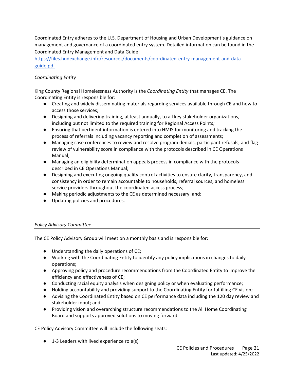Coordinated Entry adheres to the U.S. Department of Housing and Urban Development's guidance on management and governance of a coordinated entry system. Detailed information can be found in the Coordinated Entry Management and Data Guide:

[https://files.hudexchange.info/resources/documents/coordinated-entry-management-and-data](https://files.hudexchange.info/resources/documents/coordinated-entry-management-and-data-guide.pdf)[guide.pdf](https://files.hudexchange.info/resources/documents/coordinated-entry-management-and-data-guide.pdf)

#### <span id="page-20-0"></span>*Coordinating Entity*

King County Regional Homelessness Authority is the *Coordinating Entity* that manages CE. The Coordinating Entity is responsible for:

- Creating and widely disseminating materials regarding services available through CE and how to access those services;
- Designing and delivering training, at least annually, to all key stakeholder organizations, including but not limited to the required training for Regional Access Points*;*
- Ensuring that pertinent information is entered into HMIS for monitoring and tracking the process of referrals including vacancy reporting and completion of assessments;
- Managing case conferences to review and resolve program denials, participant refusals, and flag review of vulnerability score in compliance with the protocols described in CE Operations Manual;
- Managing an eligibility determination appeals process in compliance with the protocols described in CE Operations Manual;
- Designing and executing ongoing quality control activities to ensure clarity, transparency, and consistency in order to remain accountable to households, referral sources, and homeless service providers throughout the coordinated access process;
- Making periodic adjustments to the CE as determined necessary, and;
- Updating policies and procedures.

#### <span id="page-20-1"></span>*Policy Advisory Committee*

The CE Policy Advisory Group will meet on a monthly basis and is responsible for:

- Understanding the daily operations of CE;
- Working with the Coordinating Entity to identify any policy implications in changes to daily operations;
- Approving policy and procedure recommendations from the Coordinated Entity to improve the efficiency and effectiveness of CE;
- Conducting racial equity analysis when designing policy or when evaluating performance;
- Holding accountability and providing support to the Coordinating Entity for fulfilling CE vision;
- Advising the Coordinated Entity based on CE performance data including the 120 day review and stakeholder input; and
- Providing vision and overarching structure recommendations to the All Home Coordinating Board and supports approved solutions to moving forward.

CE Policy Advisory Committee will include the following seats:

● 1-3 Leaders with lived experience role(s)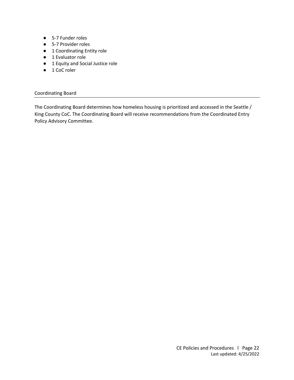- 5-7 Funder roles
- 5-7 Provider roles
- 1 Coordinating Entity role
- 1 Evaluator role
- 1 Equity and Social Justice role
- 1 CoC roler

#### <span id="page-21-0"></span>Coordinating Board

The Coordinating Board determines how homeless housing is prioritized and accessed in the Seattle / King County CoC. The Coordinating Board will receive recommendations from the Coordinated Entry Policy Advisory Committee.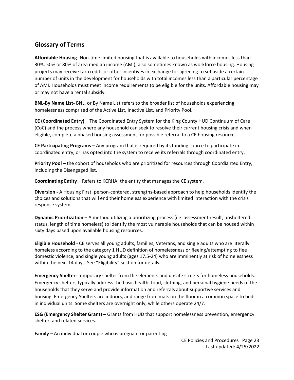# <span id="page-22-0"></span>**Glossary of Terms**

**Affordable Housing-** Non-time limited housing that is available to households with incomes less than 30%, 50% or 80% of area median income (AMI), also sometimes known as workforce housing. Housing projects may receive tax credits or other incentives in exchange for agreeing to set aside a certain number of units in the development for households with total incomes less than a particular percentage of AMI. Households must meet income requirements to be eligible for the units. Affordable housing may or may not have a rental subsidy.

**BNL-By Name List-** BNL, or By Name List refers to the broader list of households experiencing homelessness comprised of the Active List, Inactive List, and Priority Pool.

**CE (Coordinated Entry)** – The Coordinated Entry System for the King County HUD Continuum of Care (CoC) and the process where any household can seek to resolve their current housing crisis and when eligible, complete a phased housing assessment for possible referral to a CE housing resource.

**CE Participating Programs** – Any program that is required by its funding source to participate in coordinated entry, or has opted into the system to receive its referrals through coordinated entry.

**Priority Pool** – the cohort of households who are prioritized for resources through Coordianted Entry, including the Disengaged list.

**Coordinating Entity** – Refers to KCRHA; the entity that manages the CE system.

**Diversion -** A Housing First, person-centered, strengths-based approach to help households identify the choices and solutions that will end their homeless experience with limited interaction with the crisis response system.

**Dynamic Prioritization** – A method utilizing a prioritizing process (i.e. assessment result, unsheltered status, length of time homeless) to identify the most vulnerable households that can be housed within sixty days based upon available housing resources.

**Eligible Household** - CE serves all young adults, families, Veterans, and single adults who are literally homeless according to the category 1 HUD definition of homelessness or fleeing/attempting to flee domestic violence, and single young adults (ages 17.5-24) who are imminently at risk of homelessness within the next 14 days. See "Eligibility" section for details.

**Emergency Shelter-** temporary shelter from the elements and unsafe streets for homeless households. Emergency shelters typically address the basic health, food, clothing, and personal hygiene needs of the households that they serve and provide information and referrals about supportive services and housing. Emergency Shelters are indoors, and range from mats on the floor in a common space to beds in individual units. Some shelters are overnight only, while others operate 24/7.

**ESG (Emergency Shelter Grant)** – Grants from HUD that support homelessness prevention, emergency shelter, and related services.

**Family** – An individual or couple who is pregnant or parenting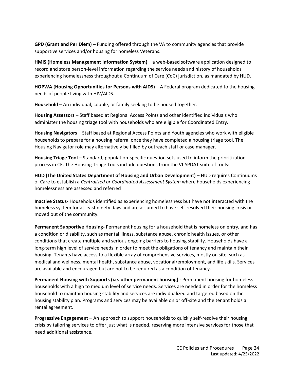**GPD (Grant and Per Diem)** – Funding offered through the VA to community agencies that provide supportive services and/or housing for homeless Veterans.

**HMIS (Homeless Management Information System)** – a web-based software application designed to record and store person-level information regarding the service needs and history of households experiencing homelessness throughout a Continuum of Care (CoC) jurisdiction, as mandated by HUD.

**HOPWA (Housing Opportunities for Persons with AIDS)** – A Federal program dedicated to the housing needs of people living with HIV/AIDS.

**Household** – An individual, couple, or family seeking to be housed together.

**Housing Assessors** – Staff based at Regional Access Points and other identified individuals who administer the housing triage tool with households who are eligible for Coordinated Entry.

**Housing Navigators** – Staff based at Regional Access Points and Youth agencies who work with eligible households to prepare for a housing referral once they have completed a housing triage tool. The Housing Navigator role may alternatively be filled by outreach staff or case manager.

**Housing Triage Tool** – Standard, population-specific question sets used to inform the prioritization process in CE. The Housing Triage Tools include questions from the VI-SPDAT suite of tools:

**HUD (The United States Department of Housing and Urban Development)** – HUD requires Continuums of Care to establish a *Centralized or Coordinated Assessment System* where households experiencing homelessness are assessed and referred

**Inactive Status-** Households identified as experiencing homelessness but have not interacted with the homeless system for at least ninety days and are assumed to have self-resolved their housing crisis or moved out of the community.

**Permanent Supportive Housing-** Permanent housing for a household that is homeless on entry, and has a condition or disability, such as mental illness, substance abuse, chronic health issues, or other conditions that create multiple and serious ongoing barriers to housing stability. Households have a long-term high level of service needs in order to meet the obligations of tenancy and maintain their housing. Tenants have access to a flexible array of comprehensive services, mostly on site, such as medical and wellness, mental health, substance abuse, vocational/employment, and life skills. Services are available and encouraged but are not to be required as a condition of tenancy.

**Permanent Housing with Supports (i.e. other permanent housing) -** Permanent housing for homeless households with a high to medium level of service needs. Services are needed in order for the homeless household to maintain housing stability and services are individualized and targeted based on the housing stability plan. Programs and services may be available on or off-site and the tenant holds a rental agreement.

**Progressive Engagement** – An approach to support households to quickly self-resolve their housing crisis by tailoring services to offer just what is needed, reserving more intensive services for those that need additional assistance.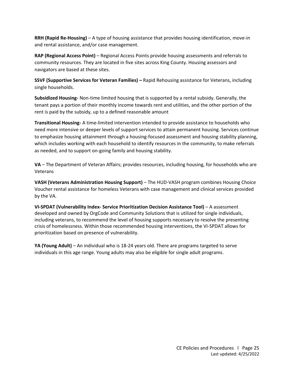**RRH (Rapid Re-Housing)** – A type of housing assistance that provides housing identification, move-in and rental assistance, and/or case management.

**RAP (Regional Access Point)** – Regional Access Points provide housing assessments and referrals to community resources. They are located in five sites across King County. Housing assessors and navigators are based at these sites.

**SSVF (Supportive Services for Veteran Families) –** Rapid Rehousing assistance for Veterans, including single households.

**Subsidized Housing-** Non-time limited housing that is supported by a rental subsidy. Generally, the tenant pays a portion of their monthly income towards rent and utilities, and the other portion of the rent is paid by the subsidy, up to a defined reasonable amount

**Transitional Housing-** A time-limited intervention intended to provide assistance to households who need more intensive or deeper levels of support services to attain permanent housing. Services continue to emphasize housing attainment through a housing-focused assessment and housing stability planning, which includes working with each household to identify resources in the community, to make referrals as needed, and to support on-going family and housing stability.

**VA** – The Department of Veteran Affairs; provides resources, including housing, for households who are Veterans

**VASH (Veterans Administration Housing Support)** – The HUD-VASH program combines Housing Choice Voucher rental assistance for homeless Veterans with case management and clinical services provided by the VA.

**VI-SPDAT (Vulnerability Index- Service Prioritization Decision Assistance Tool)** – A assessment developed and owned by OrgCode and Community Solutions that is utilized for single individuals, including veterans, to recommend the level of housing supports necessary to resolve the presenting crisis of homelessness. Within those recommended housing interventions, the VI-SPDAT allows for prioritization based on presence of vulnerability.

**YA (Young Adult)** – An individual who is 18-24 years old. There are programs targeted to serve individuals in this age range. Young adults may also be eligible for single adult programs.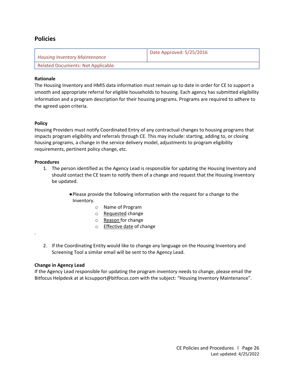### <span id="page-25-0"></span>**Policies**

<span id="page-25-1"></span>

| <b>Housing Inventory Maintenance</b>      | Date Approved: 5/25/2016 |
|-------------------------------------------|--------------------------|
| <b>Related Documents: Not Applicable.</b> |                          |

#### **Rationale**

The Housing Inventory and HMIS data information must remain up to date in order for CE to support a smooth and appropriate referral for eligible households to housing. Each agency has submitted eligibility information and a program description for their housing programs. Programs are required to adhere to the agreed upon criteria.

#### **Policy**

Housing Providers must notify Coordinated Entry of any contractual changes to housing programs that impacts program eligibility and referrals through CE. This may include: starting, adding to, or closing housing programs, a change in the service delivery model, adjustments to program eligibility requirements, pertinent policy change, etc.

#### **Procedures**

.

- 1. The person identified as the Agency Lead is responsible for updating the Housing Inventory and should contact the CE team to notify them of a change and request that the Housing Inventory be updated.
	- ●Please provide the following information with the request for a change to the Inventory.
		- o Name of Program
		- o Requested change
		- o Reason for change
		- o **Effective date of change**
- 2. If the Coordinating Entity would like to change any language on the Housing Inventory and Screening Tool a similar email will be sent to the Agency Lead.

#### **Change in Agency Lead**

If the Agency Lead responsible for updating the program inventory needs to change, please email the Bitfocus Helpdesk at at kcsupport@bitfocus.com with the subject: "Housing Inventory Maintenance".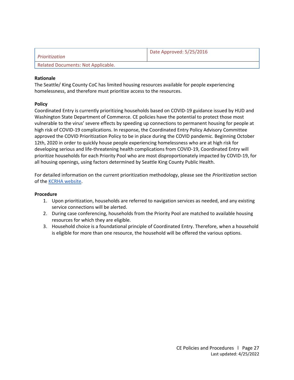<span id="page-26-0"></span>

| <i>Prioritization</i>              | Date Approved: 5/25/2016 |
|------------------------------------|--------------------------|
| Related Documents: Not Applicable. |                          |

The Seattle/ King County CoC has limited housing resources available for people experiencing homelessness, and therefore must prioritize access to the resources.

#### **Policy**

Coordinated Entry is currently prioritizing households based on COVID-19 guidance issued by HUD and Washington State Department of Commerce. CE policies have the potential to protect those most vulnerable to the virus' severe effects by speeding up connections to permanent housing for people at high risk of COVID-19 complications. In response, the Coordinated Entry Policy Advisory Committee approved the COVID Prioritization Policy to be in place during the COVID pandemic. Beginning October 12th, 2020 in order to quickly house people experiencing homelessness who are at high risk for developing serious and life-threatening health complications from COVID-19, Coordinated Entry will prioritize households for each Priority Pool who are most disproportionately impacted by COVID-19, for all housing openings, using factors determined by Seattle King County Public Health.

For detailed information on the current prioritization methodology, please see the *Prioritization* section of the [KCRHA website.](https://kcrha.org/coordinated-entry/)

- 1. Upon prioritization, households are referred to navigation services as needed, and any existing service connections will be alerted.
- 2. During case conferencing, households from the Priority Pool are matched to available housing resources for which they are eligible.
- 3. Household choice is a foundational principle of Coordinated Entry. Therefore, when a household is eligible for more than one resource, the household will be offered the various options.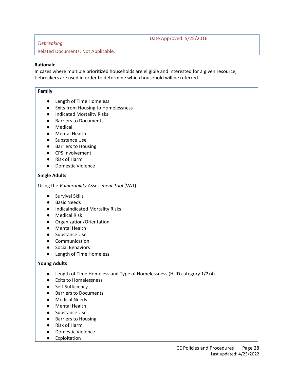<span id="page-27-0"></span>

| Tiebreaking                        | Date Approved: 5/25/2016 |
|------------------------------------|--------------------------|
| Related Documents: Not Applicable. |                          |

In cases where multiple prioritized households are eligible and interested for a given resource, tiebreakers are used in order to determine which household will be referred.

#### **Family**

- Length of Time Homeless
- Exits from Housing to Homelessness
- Indicated Mortality Risks
- Barriers to Documents
- Medical
- Mental Health
- Substance Use
- Barriers to Housing
- CPS Involvement
- Risk of Harm
- Domestic Violence

#### **Single Adults**

Using the *Vulnerability Assessment Tool* (VAT)

- Survival Skills
- Basic Needs
- IndicaIndicated Mortality Risks
- Medical Risk
- Organization/Orientation
- Mental Health
- Substance Use
- Communication
- Social Behaviors
- Length of Time Homeless

#### **Young Adults**

- Length of Time Homeless and Type of Homelessness (HUD category 1/2/4)
- Exits to Homelessness
- Self-Sufficiency
- Barriers to Documents
- Medical Needs
- Mental Health
- Substance Use
- Barriers to Housing
- Risk of Harm
- Domestic Violence
- Exploitation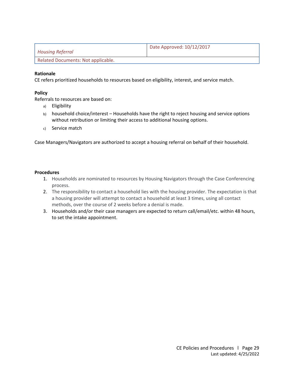<span id="page-28-0"></span>

| Housing Referral                   | Date Approved: 10/12/2017 |
|------------------------------------|---------------------------|
| Related Documents: Not applicable. |                           |

CE refers prioritized households to resources based on eligibility, interest, and service match.

#### **Policy**

Referrals to resources are based on:

- a) Eligibility
- b) household choice/interest Households have the right to reject housing and service options without retribution or limiting their access to additional housing options.
- c) Service match

Case Managers/Navigators are authorized to accept a housing referral on behalf of their household.

- 1. Households are nominated to resources by Housing Navigators through the Case Conferencing process.
- 2. The responsibility to contact a household lies with the housing provider. The expectation is that a housing provider will attempt to contact a household at least 3 times, using all contact methods, over the course of 2 weeks before a denial is made.
- 3. Households and/or their case managers are expected to return call/email/etc. within 48 hours, to set the intake appointment.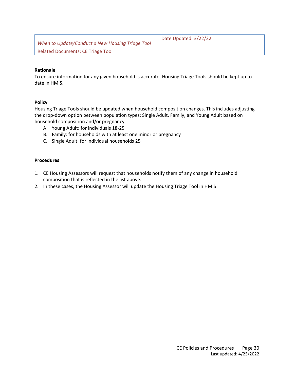<span id="page-29-0"></span>

| When to Update/Conduct a New Housing Triage Tool | Date Updated: 3/22/22 |
|--------------------------------------------------|-----------------------|
| <b>Related Documents: CE Triage Tool</b>         |                       |

To ensure information for any given household is accurate, Housing Triage Tools should be kept up to date in HMIS.

#### **Policy**

Housing Triage Tools should be updated when household composition changes. This includes adjusting the drop-down option between population types: Single Adult, Family, and Young Adult based on household composition and/or pregnancy.

- A. Young Adult: for individuals 18-25
- B. Family: for households with at least one minor or pregnancy
- C. Single Adult: for individual households 25+

- 1. CE Housing Assessors will request that households notify them of any change in household composition that is reflected in the list above.
- 2. In these cases, the Housing Assessor will update the Housing Triage Tool in HMIS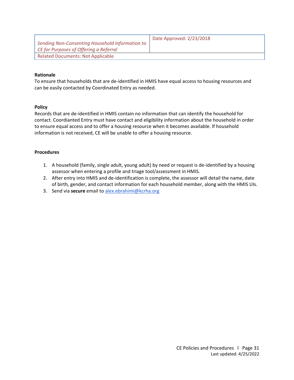<span id="page-30-0"></span>

|                                                 | Date Approved: 2/23/2018 |
|-------------------------------------------------|--------------------------|
| Sending Non-Consenting Household Information to |                          |
| CE for Purposes of Offering a Referral          |                          |
| <b>Related Documents: Not Applicable</b>        |                          |

To ensure that households that are de-identified in HMIS have equal access to housing resources and can be easily contacted by Coordinated Entry as needed.

#### **Policy**

Records that are de-identified in HMIS contain no information that can identify the household for contact. Coordianted Entry must have contact and eligibility information about the household in order to ensure equal access and to offer a housing resource when it becomes available. If household information is not received, CE will be unable to offer a housing resource.

- 1. A household (family, single adult, young adult) by need or request is de-identified by a housing assessor when entering a profile and triage tool/assessment in HMIS.
- 2. After entry into HMIS and de-identification is complete, the assessor will detail the name, date of birth, gender, and contact information for each household member, along with the HMIS UIs.
- 3. Send via **secure** email to [alex.ebrahimi@kcrha.org](mailto:alex.ebrahimi@kcrha.org)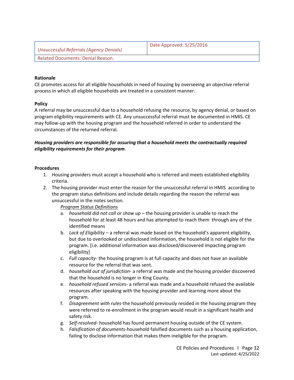<span id="page-31-0"></span>

| Unsuccessful Referrals (Agency Denials)        | Date Approved: 5/25/2016 |
|------------------------------------------------|--------------------------|
| <sup>1</sup> Related Documents: Denial Reason. |                          |

CE promotes access for all eligible households in need of housing by overseeing an objective referral process in which all eligible households are treated in a consistent manner.

#### **Policy**

A referral may be unsuccessful due to a household refusing the resource, by agency denial, or based on program eligibility requirements with CE. Any unsuccessful referral must be documented in HMIS. CE may follow-up with the housing program and the household referred in order to understand the circumstances of the returned referral.

#### *Housing providers are responsible for assuring that a household meets the contractually required eligibility requirements for their program*.

#### **Procedures**

- 1. Housing providers must accept a household who is referred and meets established eligibility criteria.
- 2. The housing provider must enter the reason for the unsuccessful referral in HMIS according to the program status definitions and include details regarding the reason the referral was unsuccessful in the notes section.

#### *Program Status Definitions*

- a. *household did not call or show up*  the housing provider is unable to reach the household for at least 48 hours and has attempted to reach them through any of the identified means
- b. *Lack of Eligibility*  a referral was made based on the household's apparent eligibility, but due to overlooked or undisclosed information, the household is not eligible for the program. [i.e. additional information was disclosed/discovered impacting program eligibility]
- c. *Full capacity* the housing program is at full capacity and does not have an available resource for the referral that was sent.
- d. *household out of jurisdiction* a referral was made and the housing provider discovered that the household is no longer in King County.
- e. *household refused services* a referral was made and a household refused the available resources after speaking with the housing provider and learning more about the program.
- f. *Disagreement with rules-*the household previously resided in the housing program they were referred to re-enrollment in the program would result in a significant health and safety risk.
- g. *Self-resolved-* household has found permanent housing outside of the CE system.
- h. *Falsification of documents-*household falsified documents such as a housing application, failing to disclose information that makes them ineligible for the program.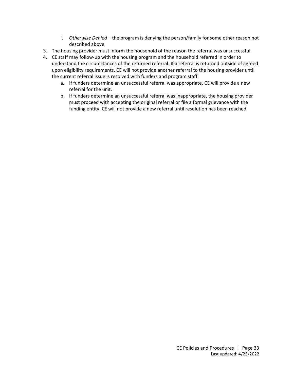- i. *Otherwise Denied –* the program is denying the person/family for some other reason not described above
- 3. The housing provider must inform the household of the reason the referral was unsuccessful.
- 4. CE staff may follow-up with the housing program and the household referred in order to understand the circumstances of the returned referral. If a referral is returned outside of agreed upon eligibility requirements, CE will not provide another referral to the housing provider until the current referral issue is resolved with funders and program staff.
	- a. If funders determine an unsuccessful referral was appropriate, CE will provide a new referral for the unit.
	- b. If funders determine an unsuccessful referral was inappropriate, the housing provider must proceed with accepting the original referral or file a formal grievance with the funding entity. CE will not provide a new referral until resolution has been reached.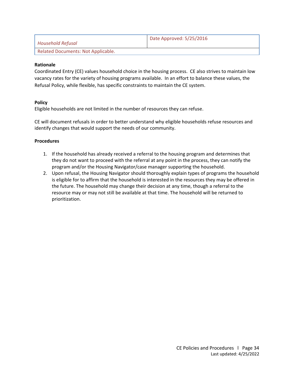<span id="page-33-0"></span>

| Household Refusal                  | Date Approved: 5/25/2016 |
|------------------------------------|--------------------------|
| Related Documents: Not Applicable. |                          |

Coordinated Entry (CE) values household choice in the housing process. CE also strives to maintain low vacancy rates for the variety of housing programs available. In an effort to balance these values, the Refusal Policy, while flexible, has specific constraints to maintain the CE system.

#### **Policy**

Eligible households are not limited in the number of resources they can refuse.

CE will document refusals in order to better understand why eligible households refuse resources and identify changes that would support the needs of our community.

- 1. If the household has already received a referral to the housing program and determines that they do not want to proceed with the referral at any point in the process, they can notify the program and/or the Housing Navigator/case manager supporting the household.
- 2. Upon refusal, the Housing Navigator should thoroughly explain types of programs the household is eligible for to affirm that the household is interested in the resources they may be offered in the future. The household may change their decision at any time, though a referral to the resource may or may not still be available at that time. The household will be returned to prioritization.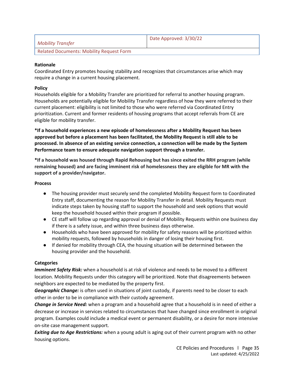<span id="page-34-0"></span>

| <b>Mobility Transfer</b>                 | Date Approved: 3/30/22 |
|------------------------------------------|------------------------|
| Related Documents: Mobility Request Form |                        |

Coordinated Entry promotes housing stability and recognizes that circumstances arise which may require a change in a current housing placement.

#### **Policy**

Households eligible for a Mobility Transfer are prioritized for referral to another housing program. Households are potentially eligible for Mobility Transfer regardless of how they were referred to their current placement: eligibility is not limited to those who were referred via Coordinated Entry prioritization. Current and former residents of housing programs that accept referrals from CE are eligible for mobility transfer.

**\*If a household experiences a new episode of homelessness after a Mobility Request has been approved but before a placement has been facilitated, the Mobility Request is still able to be processed. In absence of an existing service connection, a connection will be made by the System Performance team to ensure adequate navigation support through a transfer.**

**\*If a household was housed through Rapid Rehousing but has since exited the RRH program (while remaining housed) and are facing imminent risk of homelessness they are eligible for MR with the support of a provider/navigator.**

#### **Process**

- The housing provider must securely send the completed Mobility Request form to Coordinated Entry staff, documenting the reason for Mobility Transfer in detail. Mobility Requests must indicate steps taken by housing staff to support the household and seek options that would keep the household housed within their program if possible.
- CE staff will follow up regarding approval or denial of Mobility Requests within one business day if there is a safety issue, and within three business days otherwise.
- Households who have been approved for mobility for safety reasons will be prioritized within mobility requests, followed by households in danger of losing their housing first.
- If denied for mobility through CEA, the housing situation will be determined between the housing provider and the household.

#### **Categories**

*Imminent Safety Risk:* when a household is at risk of violence and needs to be moved to a different location. Mobility Requests under this category will be prioritized. Note that disagreements between neighbors are expected to be mediated by the property first.

*Geographic Change:* is often used in situations of joint custody, if parents need to be closer to each other in order to be in compliance with their custody agreement.

*Change in Service Need:* when a program and a household agree that a household is in need of either a decrease or increase in services related to circumstances that have changed since enrollment in original program. Examples could include a medical event or permanent disability, or a desire for more intensive on-site case management support.

*Exiting due to Age Restrictions:* when a young adult is aging out of their current program with no other housing options.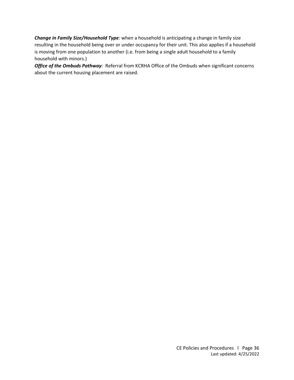*Change in Family Size/Household Type:* when a household is anticipating a change in family size resulting in the household being over or under occupancy for their unit. This also applies if a household is moving from one population to another (i.e. from being a single adult household to a family household with minors.)

**Office of the Ombuds Pathway**: Referral from KCRHA Office of the Ombuds when significant concerns about the current housing placement are raised.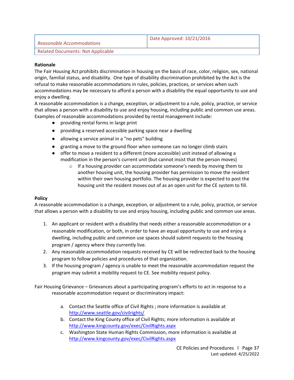<span id="page-36-0"></span>

| Reasonable Accommodations         | Date Approved: 10/21/2016 |
|-----------------------------------|---------------------------|
| Related Documents: Not Applicable |                           |

The Fair Housing Act prohibits discrimination in housing on the basis of race, color, religion, sex, national origin, familial status, and disability. One type of disability discrimination prohibited by the Act is the refusal to make reasonable accommodations in rules, policies, practices, or services when such accommodations may be necessary to afford a person with a disability the equal opportunity to use and enjoy a dwelling.

A reasonable accommodation is a change, exception, or adjustment to a rule, policy, practice, or service that allows a person with a disability to use and enjoy housing, including public and common use areas. Examples of reasonable accommodations provided by rental management include:

- providing rental forms in large print
- providing a reserved accessible parking space near a dwelling
- allowing a service animal in a "no pets" building
- granting a move to the ground floor when someone can no longer climb stairs
- offer to move a resident to a different (more accessible) unit instead of allowing a modification in the person's current unit (but cannot insist that the person moves)
	- o If a housing provider can accommodate someone's needs by moving them to another housing unit, the housing provider has permission to move the resident within their own housing portfolio. The housing provider is expected to post the housing unit the resident moves out of as an open unit for the CE system to fill.

#### **Policy**

A reasonable accommodation is a change, exception, or adjustment to a rule, policy, practice, or service that allows a person with a disability to use and enjoy housing, including public and common use areas.

- 1. An applicant or resident with a disability that needs either a reasonable accommodation or a reasonable modification, or both, in order to have an equal opportunity to use and enjoy a dwelling, including public and common use spaces should submit requests to the housing program / agency where they currently live.
- 2. Any reasonable accommodation requests received by CE will be redirected back to the housing program to follow policies and procedures of that organization.
- 3. If the housing program / agency is unable to meet the reasonable accommodation request the program may submit a mobility request to CE. See mobility request policy.

Fair Housing Grievance – Grievances about a participating program's efforts to act in response to a reasonable accommodation request or discriminatory impact:

- a. Contact the Seattle office of Civil Rights ; more information is available at <http://www.seattle.gov/civilrights/>
- b. Contact the King County office of Civil Rights; more information is available at <http://www.kingcounty.gov/exec/CivilRights.aspx>
- c. Washington State Human Rights Commission, more information is available at <http://www.kingcounty.gov/exec/CivilRights.aspx>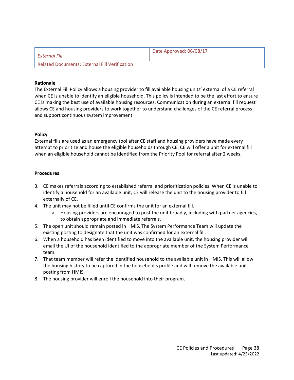<span id="page-37-0"></span>

| ' External Fill                               | Date Approved: 06/08/17 |
|-----------------------------------------------|-------------------------|
| Related Documents: External Fill Verification |                         |

The External Fill Policy allows a housing provider to fill available housing units' external of a CE referral when CE is unable to identify an eligible household. This policy is intended to be the last effort to ensure CE is making the best use of available housing resources. Communication during an external fill request allows CE and housing providers to work together to understand challenges of the CE referral process and support continuous system improvement.

#### **Policy**

External fills are used as an emergency tool after CE staff and housing providers have made every attempt to prioritize and house the eligible households through CE. CE will offer a unit for external fill when an eligible household cannot be identified from the Priority Pool for referral after 2 weeks.

#### **Procedures**

.

- 3. CE makes referrals according to established referral and prioritization policies. When CE is unable to identify a household for an available unit, CE will release the unit to the housing provider to fill externally of CE.
- 4. The unit may not be filled until CE confirms the unit for an external fill.
	- a. Housing providers are encouraged to post the unit broadly, including with partner agencies, to obtain appropriate and immediate referrals.
- 5. The open unit should remain posted in HMIS. The System Performance Team will update the existing posting to designate that the unit was confirmed for an external fill.
- 6. When a household has been identified to move into the available unit, the housing provider will email the UI of the household identified to the appropriate member of the System Performance team.
- 7. That team member will refer the identified household to the available unit in HMIS. This will allow the housing history to be captured in the household's profile and will remove the available unit posting from HMIS.
- 8. The housing provider will enroll the household into their program.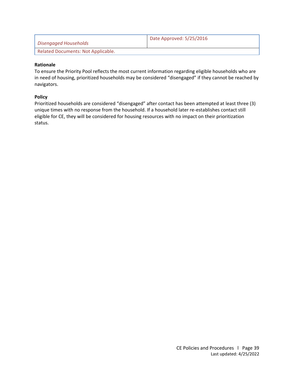<span id="page-38-0"></span>

| Disengaged Households              | Date Approved: 5/25/2016 |
|------------------------------------|--------------------------|
| Related Documents: Not Applicable. |                          |

To ensure the Priority Pool reflects the most current information regarding eligible households who are in need of housing, prioritized households may be considered "disengaged" if they cannot be reached by navigators.

#### **Policy**

Prioritized households are considered "disengaged" after contact has been attempted at least three (3) unique times with no response from the household. If a household later re-establishes contact still eligible for CE, they will be considered for housing resources with no impact on their prioritization status.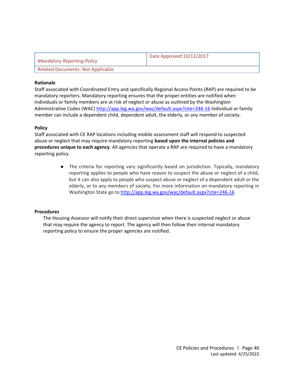<span id="page-39-0"></span>

| <b>Mandatory Reporting Policy</b>        | Date Approved: 10/12/2017 |
|------------------------------------------|---------------------------|
| <b>Related Documents: Not Applicable</b> |                           |

Staff associated with Coordinated Entry and specifically Regional Access Points (RAP) are required to be mandatory reporters. Mandatory reporting ensures that the proper entities are notified when individuals or family members are at risk of neglect or abuse as outlined by the Washington Administrative Codes (WAC)<http://app.leg.wa.gov/wac/default.aspx?cite=246-16> Individual or family member can include a dependent child, dependent adult, the elderly, or any member of society.

#### **Policy**

Staff associated with CE RAP locations including mobile assessment staff will respond to suspected abuse or neglect that may require mandatory reporting **based upon the internal policies and procedures unique to each agency**. All agencies that operate a RAP are required to have a mandatory reporting policy.

> ● The criteria for reporting vary significantly based on jurisdiction. Typically, mandatory reporting applies to people who have reason to suspect the abuse or neglect of a child, but it can also apply to people who suspect abuse or neglect of a dependent adult or the elderly, or to any members of society. For more information on mandatory reporting in Washington State go to<http://app.leg.wa.gov/wac/default.aspx?cite=246-16>

#### **Procedures**

The Housing Assessor will notify their direct supervisor when there is suspected neglect or abuse that may require the agency to report. The agency will then follow their internal mandatory reporting policy to ensure the proper agencies are notified.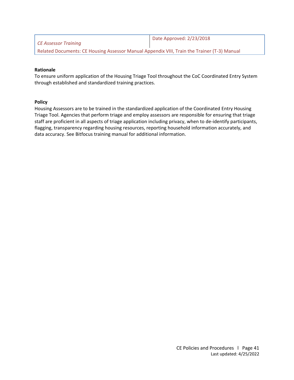<span id="page-40-0"></span>

| CE Assessor Training                                                                        | Date Approved: 2/23/2018 |
|---------------------------------------------------------------------------------------------|--------------------------|
| Related Documents: CE Housing Assessor Manual Appendix VIII, Train the Trainer (T-3) Manual |                          |

To ensure uniform application of the Housing Triage Tool throughout the CoC Coordinated Entry System through established and standardized training practices.

#### **Policy**

Housing Assessors are to be trained in the standardized application of the Coordinated Entry Housing Triage Tool. Agencies that perform triage and employ assessors are responsible for ensuring that triage staff are proficient in all aspects of triage application including privacy, when to de-identify participants, flagging, transparency regarding housing resources, reporting household information accurately, and data accuracy. See Bitfocus training manual for additional information.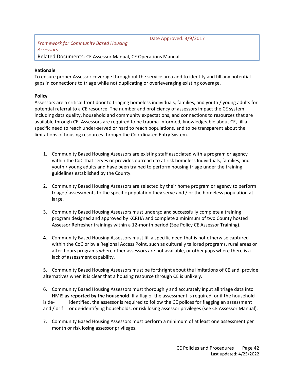<span id="page-41-0"></span>

| Framework for Community Based Housing<br>Assessors          | Date Approved: 3/9/2017 |
|-------------------------------------------------------------|-------------------------|
| Related Documents: CE Assessor Manual, CE Operations Manual |                         |

To ensure proper Assessor coverage throughout the service area and to identify and fill any potential gaps in connections to triage while not duplicating or overleveraging existing coverage.

#### **Policy**

Assessors are a critical front door to triaging homeless individuals, families, and youth / young adults for potential referral to a CE resource. The number and proficiency of assessors impact the CE system including data quality, household and community expectations, and connections to resources that are available through CE. Assessors are required to be trauma-informed, knowledgeable about CE, fill a specific need to reach under-served or hard to reach populations, and to be transparent about the limitations of housing resources through the Coordinated Entry System.

- 1. Community Based Housing Assessors are existing staff associated with a program or agency within the CoC that serves or provides outreach to at risk homeless Individuals, families, and youth / young adults and have been trained to perform housing triage under the training guidelines established by the County.
- 2. Community Based Housing Assessors are selected by their home program or agency to perform triage / assessments to the specific population they serve and / or the homeless population at large.
- 3. Community Based Housing Assessors must undergo and successfully complete a training program designed and approved by KCRHA and complete a minimum of two County hosted Assessor Refresher trainings within a 12-month period (See Policy CE Assessor Training).
- 4. Community Based Housing Assessors must fill a specific need that is not otherwise captured within the CoC or by a Regional Access Point, such as culturally tailored programs, rural areas or after-hours programs where other assessors are not available, or other gaps where there is a lack of assessment capability.

5. Community Based Housing Assessors must be forthright about the limitations of CE and provide alternatives when it is clear that a housing resource through CE is unlikely.

6. Community Based Housing Assessors must thoroughly and accurately input all triage data into HMIS **as reported by the household**. If a flag of the assessment is required, or if the household is de- identified, the assessor is required to follow the CE polices for flagging an assessment and / or f or de-identifying households, or risk losing assessor privileges (see CE Assessor Manual).

7. Community Based Housing Assessors must perform a minimum of at least one assessment per month or risk losing assessor privileges.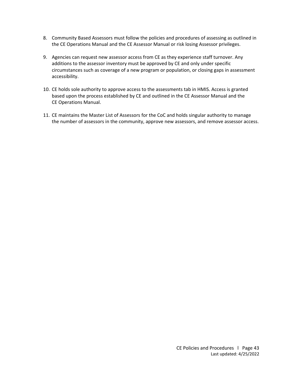- 8. Community Based Assessors must follow the policies and procedures of assessing as outlined in the CE Operations Manual and the CE Assessor Manual or risk losing Assessor privileges.
- 9. Agencies can request new assessor access from CE as they experience staff turnover. Any additions to the assessor inventory must be approved by CE and only under specific circumstances such as coverage of a new program or population, or closing gaps in assessment accessibility.
- 10. CE holds sole authority to approve access to the assessments tab in HMIS. Access is granted based upon the process established by CE and outlined in the CE Assessor Manual and the CE Operations Manual.
- 11. CE maintains the Master List of Assessors for the CoC and holds singular authority to manage the number of assessors in the community, approve new assessors, and remove assessor access.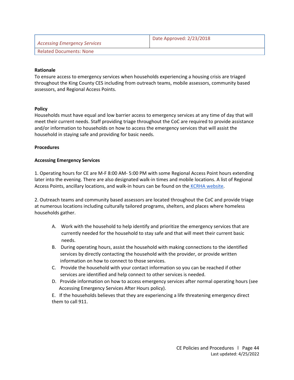<span id="page-43-0"></span>

| Accessing Emergency Services   | Date Approved: 2/23/2018 |
|--------------------------------|--------------------------|
| <b>Related Documents: None</b> |                          |

To ensure access to emergency services when households experiencing a housing crisis are triaged throughout the King County CES including from outreach teams, mobile assessors, community based assessors, and Regional Access Points.

#### **Policy**

Households must have equal and low barrier access to emergency services at any time of day that will meet their current needs. Staff providing triage throughout the CoC are required to provide assistance and/or information to households on how to access the emergency services that will assist the household in staying safe and providing for basic needs.

#### **Procedures**

#### **Accessing Emergency Services**

1. Operating hours for CE are M-F 8:00 AM- 5:00 PM with some Regional Access Point hours extending later into the evening. There are also designated walk-in times and mobile locations. A list of Regional Access Points, ancillary locations, and walk-in hours can be found on the [KCRHA website.](https://kcrha.org/regional-access-points/)

2. Outreach teams and community based assessors are located throughout the CoC and provide triage at numerous locations including culturally tailored programs, shelters, and places where homeless households gather.

- A. Work with the household to help identify and prioritize the emergency services that are currently needed for the household to stay safe and that will meet their current basic needs.
- B. During operating hours, assist the household with making connections to the identified services by directly contacting the household with the provider, or provide written information on how to connect to those services.
- C. Provide the household with your contact information so you can be reached if other services are identified and help connect to other services is needed.
- D. Provide information on how to access emergency services after normal operating hours (see Accessing Emergency Services After Hours policy).

E. If the households believes that they are experiencing a life threatening emergency direct them to call 911.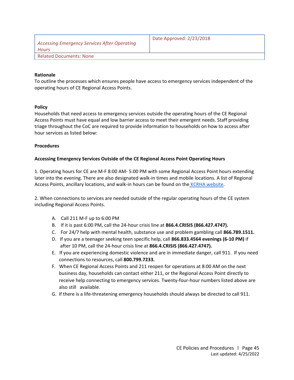<span id="page-44-0"></span>

| <b>Accessing Emergency Services After Operating</b><br><b>Hours</b> | Date Approved: 2/23/2018 |
|---------------------------------------------------------------------|--------------------------|
| <b>Related Documents: None</b>                                      |                          |
|                                                                     |                          |

To outline the processes which ensures people have access to emergency services independent of the operating hours of CE Regional Access Points.

#### **Policy**

Households that need access to emergency services outside the operating hours of the CE Regional Access Points must have equal and low barrier access to meet their emergent needs. Staff providing triage throughout the CoC are required to provide information to households on how to access after hour services as listed below:

#### **Procedures**

#### **Accessing Emergency Services Outside of the CE Regional Access Point Operating Hours**

1. Operating hours for CE are M-F 8:00 AM- 5:00 PM with some Regional Access Point hours extending later into the evening. There are also designated walk-in times and mobile locations. A list of Regional Access Points, ancillary locations, and walk-in hours can be found on the [KCRHA website.](https://kcrha.org/regional-access-points/)

2. When connections to services are needed outside of the regular operating hours of the CE system including Regional Access Points.

- A. Call 211 M-F up to 6:00 PM
- B. If it is past 6:00 PM, call the 24-hour crisis line at **866.4.CRISIS (866.427.4747).**
- C. For 24/7 help with mental health, substance use and problem gambling call **866.789.1511.**
- D. If you are a teenager seeking teen specific help, call **866.833.4564 evenings (6-10 PM)** if after 10 PM, call the 24-hour crisis line at **866.4.CRISIS (866.427.4747).**
- E. If you are experiencing domestic violence and are in immediate danger, call 911. If you need connections to resources, call **800.799.7233.**
- F. When CE Regional Access Points and 211 reopen for operations at 8:00 AM on the next business day, households can contact either 211, or the Regional Access Point directly to receive help connecting to emergency services. Twenty-four-hour numbers listed above are also still available.
- G. If there is a life-threatening emergency households should always be directed to call 911.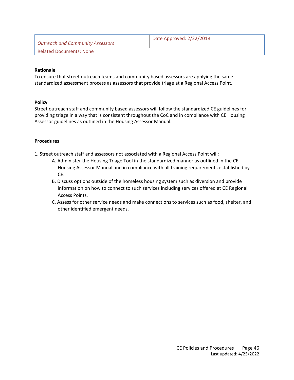<span id="page-45-0"></span>

| Outreach and Community Assessors | Date Approved: 2/22/2018 |
|----------------------------------|--------------------------|
| Related Documents: None          |                          |

To ensure that street outreach teams and community based assessors are applying the same standardized assessment process as assessors that provide triage at a Regional Access Point.

#### **Policy**

Street outreach staff and community based assessors will follow the standardized CE guidelines for providing triage in a way that is consistent throughout the CoC and in compliance with CE Housing Assessor guidelines as outlined in the Housing Assessor Manual.

#### **Procedures**

1. Street outreach staff and assessors not associated with a Regional Access Point will:

- A. Administer the Housing Triage Tool in the standardized manner as outlined in the CE Housing Assessor Manual and in compliance with all training requirements established by CE.
- B. Discuss options outside of the homeless housing system such as diversion and provide information on how to connect to such services including services offered at CE Regional Access Points.
- C. Assess for other service needs and make connections to services such as food, shelter, and other identified emergent needs.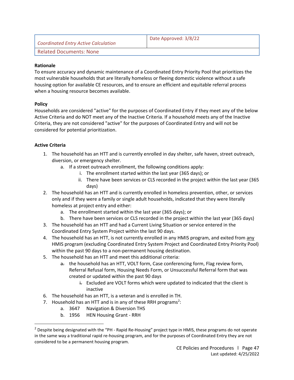<span id="page-46-0"></span>

| <b>Coordinated Entry Active Calculation</b> | Date Approved: 3/8/22 |
|---------------------------------------------|-----------------------|
| Related Documents: None                     |                       |

To ensure accuracy and dynamic maintenance of a Coordinated Entry Priority Pool that prioritizes the most vulnerable households that are literally homeless or fleeing domestic violence without a safe housing option for available CE resources, and to ensure an efficient and equitable referral process when a housing resource becomes available.

#### **Policy**

Households are considered "active" for the purposes of Coordinated Entry if they meet any of the below Active Criteria and do NOT meet any of the Inactive Criteria. If a household meets any of the Inactive Criteria, they are not considered "active" for the purposes of Coordinated Entry and will not be considered for potential prioritization.

#### **Active Criteria**

- 1. The household has an HTT and is currently enrolled in day shelter, safe haven, street outreach, diversion, or emergency shelter.
	- a. If a street outreach enrollment, the following conditions apply:
		- i. The enrollment started within the last year (365 days); or
		- ii. There have been services or CLS recorded in the project within the last year (365 days)
- 2. The household has an HTT and is currently enrolled in homeless prevention, other, or services only and if they were a family or single adult households, indicated that they were literally homeless at project entry and either:
	- a. The enrollment started within the last year (365 days); or
	- b. There have been services or CLS recorded in the project within the last year (365 days)
- 3. The household has an HTT and had a Current Living Situation or service entered in the Coordinated Entry System Project within the last 90 days.
- 4. The household has an HTT, is not currently enrolled in any HMIS program, and exited from any HMIS program (excluding Coordinated Entry System Project and Coordinated Entry Priority Pool) within the past 90 days to a non-permanent housing destination.
- 5. The household has an HTT and meet this additional criteria:
	- a. the household has an HTT, VOLT form, Case conferencing form, Flag review form, Referral Refusal form, Housing Needs Form, or Unsuccessful Referral form that was created or updated within the past 90 days
		- $\frac{1}{2}$ . Excluded are VOLT forms which were updated to indicated that the client is inactive
- 6. The household has an HTT, is a veteran and is enrolled in TH.
- 7. Household has an HTT and is in any of these RRH programs<sup>2</sup>:
	- a. 3647 Navigation & Diversion THS
	- b. 1956 HEN Housing Grant RRH

 $<sup>2</sup>$  Despite being designated with the "PH - Rapid Re-Housing" project type in HMIS, these programs do not operate</sup> in the same way a traditional rapid re-housing program, and for the purposes of Coordinated Entry they are not considered to be a permanent housing program.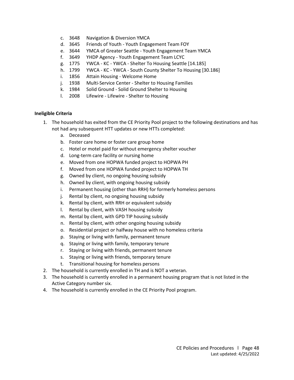- c. 3648 Navigation & Diversion YMCA
- d. 3645 Friends of Youth Youth Engagement Team FOY
- e. 3644 YMCA of Greater Seattle Youth Engagement Team YMCA
- f. 3649 YHDP Agency Youth Engagement Team LCYC
- g. 1775 YWCA KC YWCA Shelter To Housing Seattle [14.185]
- h. 1799 YWCA KC YWCA South County Shelter To Housing [30.186]
- i. 1856 Attain Housing Welcome Home
- j. 1938 Multi-Service Center Shelter to Housing Families
- k. 1984 Solid Ground Solid Ground Shelter to Housing
- l. 2008 Lifewire Lifewire Shelter to Housing

#### **Ineligible Criteria**

- 1. The household has exited from the CE Priority Pool project to the following destinations and has not had any subsequent HTT updates or new HTTs completed:
	- a. Deceased
	- b. Foster care home or foster care group home
	- c. Hotel or motel paid for without emergency shelter voucher
	- d. Long-term care facility or nursing home
	- e. Moved from one HOPWA funded project to HOPWA PH
	- f. Moved from one HOPWA funded project to HOPWA TH
	- g. Owned by client, no ongoing housing subsidy
	- h. Owned by client, with ongoing housing subsidy
	- i. Permanent housing (other than RRH) for formerly homeless persons
	- j. Rental by client, no ongoing housing subsidy
	- k. Rental by client, with RRH or equivalent subsidy
	- l. Rental by client, with VASH housing subsidy
	- m. Rental by client, with GPD TIP housing subsidy
	- n. Rental by client, with other ongoing housing subsidy
	- o. Residential project or halfway house with no homeless criteria
	- p. Staying or living with family, permanent tenure
	- q. Staying or living with family, temporary tenure
	- r. Staying or living with friends, permanent tenure
	- s. Staying or living with friends, temporary tenure
	- t. Transitional housing for homeless persons
- 2. The household is currently enrolled in TH and is NOT a veteran.
- 3. The household is currently enrolled in a permanent housing program that is not listed in the Active Category number six.
- 4. The household is currently enrolled in the CE Priority Pool program.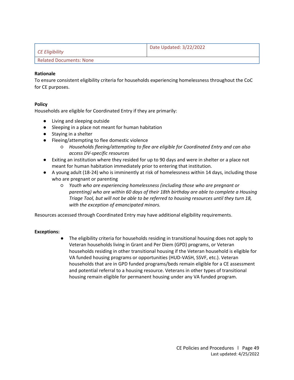<span id="page-48-0"></span>

| $\mathsf{\mid}$ CE Eligibility | Date Updated: 3/22/2022 |
|--------------------------------|-------------------------|
| Related Documents: None        |                         |

To ensure consistent eligibility criteria for households experiencing homelessness throughout the CoC for CE purposes.

#### **Policy**

Households are eligible for Coordinated Entry if they are primarily:

- Living and sleeping outside
- Sleeping in a place not meant for human habitation
- Staying in a shelter
- Fleeing/attempting to flee domestic violence
	- *Households fleeing/attempting to flee are eligible for Coordinated Entry and can also access DV-specific resources*
- Exiting an institution where they resided for up to 90 days and were in shelter or a place not meant for human habitation immediately prior to entering that institution.
- A young adult (18-24) who is imminently at risk of homelessness within 14 days, including those who are pregnant or parenting
	- *Youth who are experiencing homelessness (including those who are pregnant or parenting) who are within 60 days of their 18th birthday are able to complete a Housing Triage Tool, but will not be able to be referred to housing resources until they turn 18, with the exception of emancipated minors.*

Resources accessed through Coordinated Entry may have additional eligibility requirements.

#### **Exceptions:**

The eligibility criteria for households residing in transitional housing does not apply to Veteran households living in Grant and Per Diem (GPD) programs, or Veteran households residing in other transitional housing if the Veteran household is eligible for VA funded housing programs or opportunities (HUD-VASH, SSVF, etc.). Veteran households that are in GPD funded programs/beds remain eligible for a CE assessment and potential referral to a housing resource. Veterans in other types of transitional housing remain eligible for permanent housing under any VA funded program.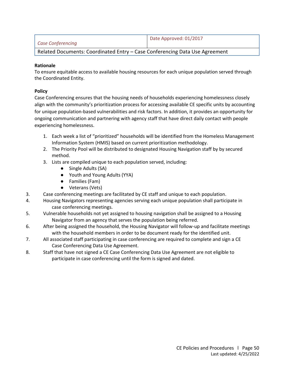<span id="page-49-0"></span>

| Case Conferencing                                                           | Date Approved: 01/2017 |
|-----------------------------------------------------------------------------|------------------------|
| Related Documents: Coordinated Entry - Case Conferencing Data Use Agreement |                        |

To ensure equitable access to available housing resources for each unique population served through the Coordinated Entity.

#### **Policy**

Case Conferencing ensures that the housing needs of households experiencing homelessness closely align with the community's prioritization process for accessing available CE specific units by accounting for unique population-based vulnerabilities and risk factors. In addition, it provides an opportunity for ongoing communication and partnering with agency staff that have direct daily contact with people experiencing homelessness.

- 1. Each week a list of "prioritized" households will be identified from the Homeless Management Information System (HMIS) based on current prioritization methodology.
- 2. The Priority Pool will be distributed to designated Housing Navigation staff by by secured method.
- 3. Lists are compiled unique to each population served, including:
	- Single Adults (SA)
	- Youth and Young Adults (YYA)
	- Families (Fam)
	- Veterans (Vets)
- 3. Case conferencing meetings are facilitated by CE staff and unique to each population.
- 4. Housing Navigators representing agencies serving each unique population shall participate in case conferencing meetings.
- 5. Vulnerable households not yet assigned to housing navigation shall be assigned to a Housing Navigator from an agency that serves the population being referred.
- 6. After being assigned the household, the Housing Navigator will follow-up and facilitate meetings with the household members in order to be document ready for the identified unit.
- 7. All associated staff participating in case conferencing are required to complete and sign a CE Case Conferencing Data Use Agreement.
- 8. Staff that have not signed a CE Case Conferencing Data Use Agreement are not eligible to participate in case conferencing until the form is signed and dated.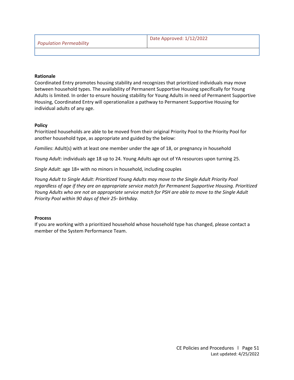<span id="page-50-0"></span>

|  | <b>Population Permeability</b> |
|--|--------------------------------|
|--|--------------------------------|

Coordinated Entry promotes housing stability and recognizes that prioritized individuals may move between household types. The availability of Permanent Supportive Housing specifically for Young Adults is limited. In order to ensure housing stability for Young Adults in need of Permanent Supportive Housing, Coordinated Entry will operationalize a pathway to Permanent Supportive Housing for individual adults of any age.

#### **Policy**

Prioritized households are able to be moved from their original Priority Pool to the Priority Pool for another household type, as appropriate and guided by the below:

*Families*: Adult(s) with at least one member under the age of 18, or pregnancy in household

*Young Adult*: individuals age 18 up to 24. Young Adults age out of YA resources upon turning 25.

*Single Adult*: age 18+ with no minors in household, including couples

*Young Adult to Single Adult: Prioritized Young Adults may move to the Single Adult Priority Pool regardless of age if they are an appropriate service match for Permanent Supportive Housing. Prioritized Young Adults who are not an appropriate service match for PSH are able to move to the Single Adult Priority Pool within 90 days of their 25<sup><i>th*</sup> *birthday.* 

#### **Process**

If you are working with a prioritized household whose household type has changed, please contact a member of the System Performance Team.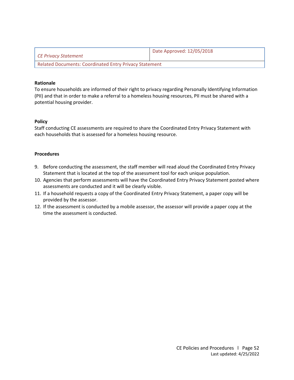<span id="page-51-0"></span>

| CE Privacy Statement                                          | Date Approved: 12/05/2018 |  |  |  |
|---------------------------------------------------------------|---------------------------|--|--|--|
| <b>Related Documents: Coordinated Entry Privacy Statement</b> |                           |  |  |  |

To ensure households are informed of their right to privacy regarding Personally Identifying Information (PII) and that in order to make a referral to a homeless housing resources, PII must be shared with a potential housing provider.

#### **Policy**

Staff conducting CE assessments are required to share the Coordinated Entry Privacy Statement with each households that is assessed for a homeless housing resource.

- 9. Before conducting the assessment, the staff member will read aloud the Coordinated Entry Privacy Statement that is located at the top of the assessment tool for each unique population.
- 10. Agencies that perform assessments will have the Coordinated Entry Privacy Statement posted where assessments are conducted and it will be clearly visible.
- 11. If a household requests a copy of the Coordinated Entry Privacy Statement, a paper copy will be provided by the assessor.
- 12. If the assessment is conducted by a mobile assessor, the assessor will provide a paper copy at the time the assessment is conducted.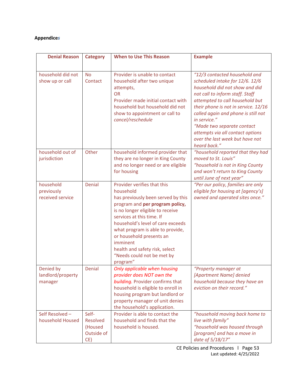# <span id="page-52-0"></span>**Appendice***s*

| <b>Denial Reason</b>                        | <b>Category</b>                                          | <b>When to Use This Reason</b>                                                                                                                                                                                                                                                                                                                                                  | <b>Example</b>                                                                                                                                                                                                                                                                                                                                                                               |
|---------------------------------------------|----------------------------------------------------------|---------------------------------------------------------------------------------------------------------------------------------------------------------------------------------------------------------------------------------------------------------------------------------------------------------------------------------------------------------------------------------|----------------------------------------------------------------------------------------------------------------------------------------------------------------------------------------------------------------------------------------------------------------------------------------------------------------------------------------------------------------------------------------------|
| household did not<br>show up or call        | <b>No</b><br>Contact                                     | Provider is unable to contact<br>household after two unique<br>attempts,<br><b>OR</b><br>Provider made initial contact with<br>household but household did not<br>show to appointment or call to<br>cancel/reschedule                                                                                                                                                           | "12/3 contacted household and<br>scheduled intake for 12/6. 12/6<br>household did not show and did<br>not call to inform staff. Staff<br>attempted to call household but<br>their phone is not in service. 12/16<br>called again and phone is still not<br>in service."<br>"Made two separate contact<br>attempts via all contact options<br>over the last week but have not<br>heard back." |
| household out of<br>jurisdiction            | Other                                                    | household informed provider that<br>they are no longer in King County<br>and no longer need or are eligible<br>for housing                                                                                                                                                                                                                                                      | "household reported that they had<br>moved to St. Louis"<br>"household is not in King County<br>and won't return to King County<br>until June of next year"                                                                                                                                                                                                                                  |
| household<br>previously<br>received service | Denial                                                   | Provider verifies that this<br>household<br>has previously been served by this<br>program and per program policy,<br>is no longer eligible to receive<br>services at this time. If<br>household's level of care exceeds<br>what program is able to provide,<br>or household presents an<br>imminent<br>health and safety risk, select<br>"Needs could not be met by<br>program" | "Per our policy, families are only<br>eligible for housing at [agency's]<br>owned and operated sites once."                                                                                                                                                                                                                                                                                  |
| Denied by<br>landlord/property<br>manager   | Denial                                                   | Only applicable when housing<br>provider does NOT own the<br>building. Provider confirms that<br>household is eligible to enroll in<br>housing program but landlord or<br>property manager of unit denies<br>the household's application.                                                                                                                                       | "Property manager at<br>[Apartment Name] denied<br>household because they have an<br>eviction on their record."                                                                                                                                                                                                                                                                              |
| Self Resolved-<br>household Housed          | Self-<br><b>Resolved</b><br>(Housed<br>Outside of<br>CE) | Provider is able to contact the<br>household and finds that the<br>household is housed.                                                                                                                                                                                                                                                                                         | "household moving back home to<br>live with family"<br>"household was housed through<br>[program] and has a move in<br>date of 5/18/17"                                                                                                                                                                                                                                                      |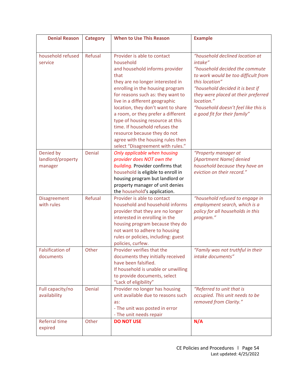| <b>Denial Reason</b>                      | <b>Category</b> | <b>When to Use This Reason</b>                                                                                                                                                                                                                                                                                                                                                                                                                                                                | <b>Example</b>                                                                                                                                                                                                                                                                                         |  |
|-------------------------------------------|-----------------|-----------------------------------------------------------------------------------------------------------------------------------------------------------------------------------------------------------------------------------------------------------------------------------------------------------------------------------------------------------------------------------------------------------------------------------------------------------------------------------------------|--------------------------------------------------------------------------------------------------------------------------------------------------------------------------------------------------------------------------------------------------------------------------------------------------------|--|
|                                           |                 |                                                                                                                                                                                                                                                                                                                                                                                                                                                                                               |                                                                                                                                                                                                                                                                                                        |  |
| household refused<br>service              | Refusal         | Provider is able to contact<br>household<br>and household informs provider<br>that<br>they are no longer interested in<br>enrolling in the housing program<br>for reasons such as: they want to<br>live in a different geographic<br>location, they don't want to share<br>a room, or they prefer a different<br>type of housing resource at this<br>time. If household refuses the<br>resource because they do not<br>agree with the housing rules then<br>select "Disagreement with rules." | "household declined location at<br>intake"<br>"household decided the commute<br>to work would be too difficult from<br>this location"<br>"household decided it is best if<br>they were placed at their preferred<br>location."<br>"household doesn't feel like this is<br>a good fit for their family" |  |
| Denied by<br>landlord/property<br>manager | Denial          | Only applicable when housing<br>provider does NOT own the<br>building. Provider confirms that<br>household is eligible to enroll in<br>housing program but landlord or<br>property manager of unit denies<br>the household's application.                                                                                                                                                                                                                                                     | "Property manager at<br>[Apartment Name] denied<br>household because they have an<br>eviction on their record."                                                                                                                                                                                        |  |
| Disagreement<br>with rules                | <b>Refusal</b>  | Provider is able to contact<br>household and household informs<br>provider that they are no longer<br>interested in enrolling in the<br>housing program because they do<br>not want to adhere to housing<br>rules or policies, including: guest<br>policies, curfew.                                                                                                                                                                                                                          | "household refused to engage in<br>employment search, which is a<br>policy for all households in this<br>program."                                                                                                                                                                                     |  |
| <b>Falsification of</b><br>documents      | Other           | Provider verifies that the<br>documents they initially received<br>have been falsified.<br>If household is unable or unwilling<br>to provide documents, select<br>"Lack of eligibility"                                                                                                                                                                                                                                                                                                       | "Family was not truthful in their<br>intake documents"                                                                                                                                                                                                                                                 |  |
| Full capacity/no<br>availability          | Denial          | Provider no longer has housing<br>unit available due to reasons such<br>as:<br>- The unit was posted in error<br>- The unit needs repair                                                                                                                                                                                                                                                                                                                                                      | "Referred to unit that is<br>occupied. This unit needs to be<br>removed from Clarity."                                                                                                                                                                                                                 |  |
| Referral time<br>expired                  | Other           | <b>DO NOT USE</b>                                                                                                                                                                                                                                                                                                                                                                                                                                                                             | N/A                                                                                                                                                                                                                                                                                                    |  |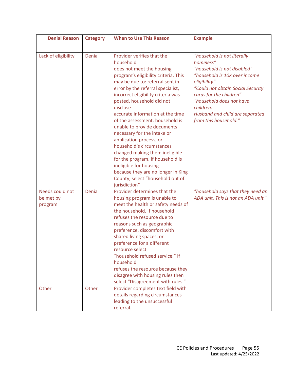| <b>Denial Reason</b>                    | <b>Category</b> | <b>When to Use This Reason</b>                                                                                                                                                                                                                                                                                                                                                                                                                                                                                                                                                                                                                              | <b>Example</b>                                                                                                                                                                                                                                                                                |  |
|-----------------------------------------|-----------------|-------------------------------------------------------------------------------------------------------------------------------------------------------------------------------------------------------------------------------------------------------------------------------------------------------------------------------------------------------------------------------------------------------------------------------------------------------------------------------------------------------------------------------------------------------------------------------------------------------------------------------------------------------------|-----------------------------------------------------------------------------------------------------------------------------------------------------------------------------------------------------------------------------------------------------------------------------------------------|--|
|                                         |                 |                                                                                                                                                                                                                                                                                                                                                                                                                                                                                                                                                                                                                                                             |                                                                                                                                                                                                                                                                                               |  |
| Lack of eligibility                     | Denial          | Provider verifies that the<br>household<br>does not meet the housing<br>program's eligibility criteria. This<br>may be due to: referral sent in<br>error by the referral specialist,<br>incorrect eligibility criteria was<br>posted, household did not<br>disclose<br>accurate information at the time<br>of the assessment, household is<br>unable to provide documents<br>necessary for the intake or<br>application process, or<br>household's circumstances<br>changed making them ineligible<br>for the program. If household is<br>ineligible for housing<br>because they are no longer in King<br>County, select "household out of<br>jurisdiction" | "household is not literally<br>homeless"<br>"household is not disabled"<br>"household is 10K over income<br>eligibility"<br>"Could not obtain Social Security<br>cards for the children"<br>"household does not have<br>children.<br>Husband and child are separated<br>from this household." |  |
| Needs could not<br>be met by<br>program | Denial          | Provider determines that the<br>housing program is unable to<br>meet the health or safety needs of<br>the household. If household<br>refuses the resource due to<br>reasons such as geographic<br>preference, discomfort with<br>shared living spaces, or<br>preference for a different<br>resource select<br>"household refused service." If<br>household<br>refuses the resource because they<br>disagree with housing rules then<br>select "Disagreement with rules."                                                                                                                                                                                    | "household says that they need an<br>ADA unit. This is not an ADA unit."                                                                                                                                                                                                                      |  |
| Other                                   | Other           | Provider completes text field with<br>details regarding circumstances<br>leading to the unsuccessful<br>referral.                                                                                                                                                                                                                                                                                                                                                                                                                                                                                                                                           |                                                                                                                                                                                                                                                                                               |  |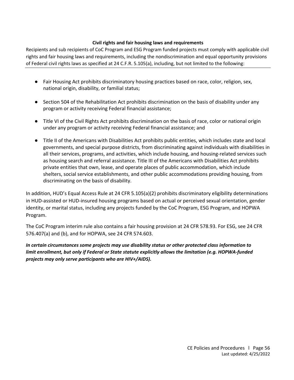#### **Civil rights and fair housing laws and requirements**

<span id="page-55-0"></span>Recipients and sub recipients of CoC Program and ESG Program funded projects must comply with applicable civil rights and fair housing laws and requirements, including the nondiscrimination and equal opportunity provisions of Federal civil rights laws as specified at 24 C.F.R. 5.105(a), including, but not limited to the following:

- Fair Housing Act prohibits discriminatory housing practices based on race, color, religion, sex, national origin, disability, or familial status;
- Section 504 of the Rehabilitation Act prohibits discrimination on the basis of disability under any program or activity receiving Federal financial assistance;
- Title VI of the Civil Rights Act prohibits discrimination on the basis of race, color or national origin under any program or activity receiving Federal financial assistance; and
- Title II of the Americans with Disabilities Act prohibits public entities, which includes state and local governments, and special purpose districts, from discriminating against individuals with disabilities in all their services, programs, and activities, which include housing, and housing-related services such as housing search and referral assistance. Title III of the Americans with Disabilities Act prohibits private entities that own, lease, and operate places of public accommodation, which include shelters, social service establishments, and other public accommodations providing housing, from discriminating on the basis of disability.

In addition, HUD's Equal Access Rule at 24 CFR 5.105(a)(2) prohibits discriminatory eligibility determinations in HUD-assisted or HUD-insured housing programs based on actual or perceived sexual orientation, gender identity, or marital status, including any projects funded by the CoC Program, ESG Program, and HOPWA Program.

The CoC Program interim rule also contains a fair housing provision at 24 CFR 578.93. For ESG, see 24 CFR 576.407(a) and (b), and for HOPWA, see 24 CFR 574.603.

*In certain circumstances some projects may use disability status or other protected class information to limit enrollment, but only if Federal or State statute explicitly allows the limitation (e.g. HOPWA-funded projects may only serve participants who are HIV+/AIDS).*